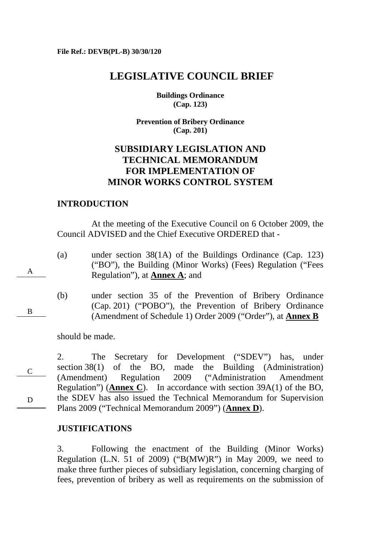# **LEGISLATIVE COUNCIL BRIEF**

**Buildings Ordinance (Cap. 123)** 

**Prevention of Bribery Ordinance (Cap. 201)** 

# **SUBSIDIARY LEGISLATION AND TECHNICAL MEMORANDUM FOR IMPLEMENTATION OF MINOR WORKS CONTROL SYSTEM**

## **INTRODUCTION**

 At the meeting of the Executive Council on 6 October 2009, the Council ADVISED and the Chief Executive ORDERED that -

(a) under section 38(1A) of the Buildings Ordinance (Cap. 123) ("BO"), the Building (Minor Works) (Fees) Regulation ("Fees Regulation"), at **Annex A**; and

B

A

(b) under section 35 of the Prevention of Bribery Ordinance (Cap. 201) ("POBO"), the Prevention of Bribery Ordinance (Amendment of Schedule 1) Order 2009 ("Order"), at **Annex B**

should be made.

C D 2. The Secretary for Development ("SDEV") has, under section 38(1) of the BO, made the Building (Administration) (Amendment) Regulation 2009 ("Administration Amendment Regulation") (**Annex C**). In accordance with section 39A(1) of the BO, the SDEV has also issued the Technical Memorandum for Supervision Plans 2009 ("Technical Memorandum 2009") (**Annex D**).

## **JUSTIFICATIONS**

3. Following the enactment of the Building (Minor Works) Regulation (L.N. 51 of 2009) ("B(MW)R") in May 2009, we need to make three further pieces of subsidiary legislation, concerning charging of fees, prevention of bribery as well as requirements on the submission of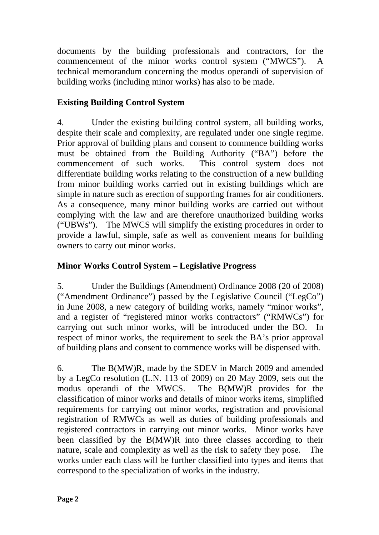documents by the building professionals and contractors, for the commencement of the minor works control system ("MWCS"). A technical memorandum concerning the modus operandi of supervision of building works (including minor works) has also to be made.

# **Existing Building Control System**

4. Under the existing building control system, all building works, despite their scale and complexity, are regulated under one single regime. Prior approval of building plans and consent to commence building works must be obtained from the Building Authority ("BA") before the commencement of such works. This control system does not differentiate building works relating to the construction of a new building from minor building works carried out in existing buildings which are simple in nature such as erection of supporting frames for air conditioners. As a consequence, many minor building works are carried out without complying with the law and are therefore unauthorized building works ("UBWs"). The MWCS will simplify the existing procedures in order to provide a lawful, simple, safe as well as convenient means for building owners to carry out minor works.

# **Minor Works Control System – Legislative Progress**

5. Under the Buildings (Amendment) Ordinance 2008 (20 of 2008) ("Amendment Ordinance") passed by the Legislative Council ("LegCo") in June 2008, a new category of building works, namely "minor works", and a register of "registered minor works contractors" ("RMWCs") for carrying out such minor works, will be introduced under the BO. In respect of minor works, the requirement to seek the BA's prior approval of building plans and consent to commence works will be dispensed with.

6. The B(MW)R, made by the SDEV in March 2009 and amended by a LegCo resolution (L.N. 113 of 2009) on 20 May 2009, sets out the modus operandi of the MWCS. The B(MW)R provides for the classification of minor works and details of minor works items, simplified requirements for carrying out minor works, registration and provisional registration of RMWCs as well as duties of building professionals and registered contractors in carrying out minor works. Minor works have been classified by the B(MW)R into three classes according to their nature, scale and complexity as well as the risk to safety they pose. The works under each class will be further classified into types and items that correspond to the specialization of works in the industry.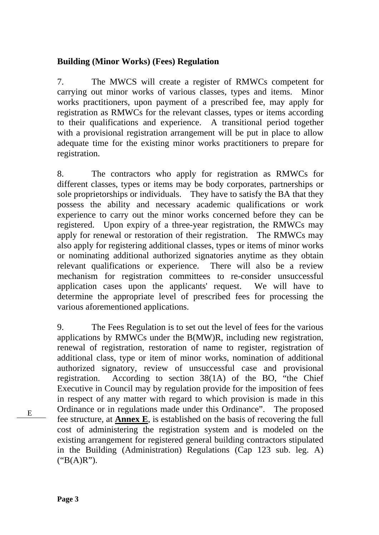## **Building (Minor Works) (Fees) Regulation**

7. The MWCS will create a register of RMWCs competent for carrying out minor works of various classes, types and items. Minor works practitioners, upon payment of a prescribed fee, may apply for registration as RMWCs for the relevant classes, types or items according to their qualifications and experience. A transitional period together with a provisional registration arrangement will be put in place to allow adequate time for the existing minor works practitioners to prepare for registration.

8. The contractors who apply for registration as RMWCs for different classes, types or items may be body corporates, partnerships or sole proprietorships or individuals. They have to satisfy the BA that they possess the ability and necessary academic qualifications or work experience to carry out the minor works concerned before they can be registered. Upon expiry of a three-year registration, the RMWCs may apply for renewal or restoration of their registration. The RMWCs may also apply for registering additional classes, types or items of minor works or nominating additional authorized signatories anytime as they obtain relevant qualifications or experience. There will also be a review mechanism for registration committees to re-consider unsuccessful application cases upon the applicants' request. We will have to determine the appropriate level of prescribed fees for processing the various aforementioned applications.

9. The Fees Regulation is to set out the level of fees for the various applications by RMWCs under the B(MW)R, including new registration, renewal of registration, restoration of name to register, registration of additional class, type or item of minor works, nomination of additional authorized signatory, review of unsuccessful case and provisional registration. According to section 38(1A) of the BO, "the Chief Executive in Council may by regulation provide for the imposition of fees in respect of any matter with regard to which provision is made in this Ordinance or in regulations made under this Ordinance". The proposed fee structure, at **Annex E**, is established on the basis of recovering the full cost of administering the registration system and is modeled on the existing arrangement for registered general building contractors stipulated in the Building (Administration) Regulations (Cap 123 sub. leg. A)  $("B(A)R")$ .

E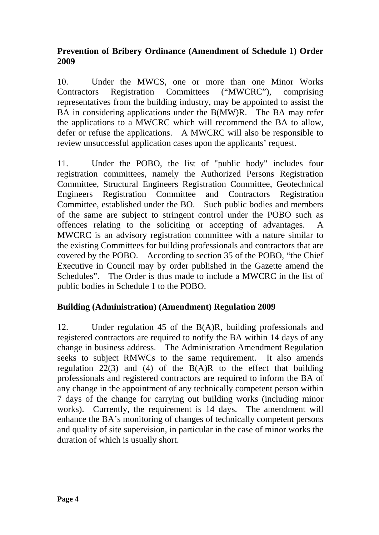# **Prevention of Bribery Ordinance (Amendment of Schedule 1) Order 2009**

10. Under the MWCS, one or more than one Minor Works Contractors Registration Committees ("MWCRC"), comprising representatives from the building industry, may be appointed to assist the BA in considering applications under the B(MW)R. The BA may refer the applications to a MWCRC which will recommend the BA to allow, defer or refuse the applications. A MWCRC will also be responsible to review unsuccessful application cases upon the applicants' request.

11. Under the POBO, the list of "public body" includes four registration committees, namely the Authorized Persons Registration Committee, Structural Engineers Registration Committee, Geotechnical Engineers Registration Committee and Contractors Registration Committee, established under the BO. Such public bodies and members of the same are subject to stringent control under the POBO such as offences relating to the soliciting or accepting of advantages. A MWCRC is an advisory registration committee with a nature similar to the existing Committees for building professionals and contractors that are covered by the POBO. According to section 35 of the POBO, "the Chief Executive in Council may by order published in the Gazette amend the Schedules". The Order is thus made to include a MWCRC in the list of public bodies in Schedule 1 to the POBO.

# **Building (Administration) (Amendment) Regulation 2009**

12. Under regulation 45 of the B(A)R, building professionals and registered contractors are required to notify the BA within 14 days of any change in business address. The Administration Amendment Regulation seeks to subject RMWCs to the same requirement. It also amends regulation 22(3) and (4) of the  $B(A)R$  to the effect that building professionals and registered contractors are required to inform the BA of any change in the appointment of any technically competent person within 7 days of the change for carrying out building works (including minor works). Currently, the requirement is 14 days. The amendment will enhance the BA's monitoring of changes of technically competent persons and quality of site supervision, in particular in the case of minor works the duration of which is usually short.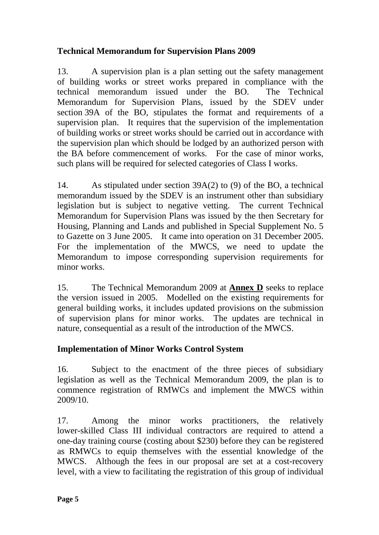# **Technical Memorandum for Supervision Plans 2009**

13. A supervision plan is a plan setting out the safety management of building works or street works prepared in compliance with the technical memorandum issued under the BO. The Technical Memorandum for Supervision Plans, issued by the SDEV under section 39A of the BO, stipulates the format and requirements of a supervision plan. It requires that the supervision of the implementation of building works or street works should be carried out in accordance with the supervision plan which should be lodged by an authorized person with the BA before commencement of works. For the case of minor works, such plans will be required for selected categories of Class I works.

14. As stipulated under section 39A(2) to (9) of the BO, a technical memorandum issued by the SDEV is an instrument other than subsidiary legislation but is subject to negative vetting. The current Technical Memorandum for Supervision Plans was issued by the then Secretary for Housing, Planning and Lands and published in Special Supplement No. 5 to Gazette on 3 June 2005. It came into operation on 31 December 2005. For the implementation of the MWCS, we need to update the Memorandum to impose corresponding supervision requirements for minor works.

15. The Technical Memorandum 2009 at **Annex D** seeks to replace the version issued in 2005. Modelled on the existing requirements for general building works, it includes updated provisions on the submission of supervision plans for minor works. The updates are technical in nature, consequential as a result of the introduction of the MWCS.

# **Implementation of Minor Works Control System**

16. Subject to the enactment of the three pieces of subsidiary legislation as well as the Technical Memorandum 2009, the plan is to commence registration of RMWCs and implement the MWCS within 2009/10.

17. Among the minor works practitioners, the relatively lower-skilled Class III individual contractors are required to attend a one-day training course (costing about \$230) before they can be registered as RMWCs to equip themselves with the essential knowledge of the MWCS. Although the fees in our proposal are set at a cost-recovery level, with a view to facilitating the registration of this group of individual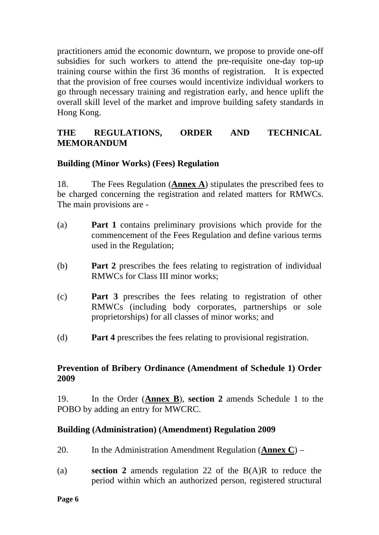practitioners amid the economic downturn, we propose to provide one-off subsidies for such workers to attend the pre-requisite one-day top-up training course within the first 36 months of registration. It is expected that the provision of free courses would incentivize individual workers to go through necessary training and registration early, and hence uplift the overall skill level of the market and improve building safety standards in Hong Kong.

# **THE REGULATIONS, ORDER AND TECHNICAL MEMORANDUM**

## **Building (Minor Works) (Fees) Regulation**

18. The Fees Regulation (**Annex A**) stipulates the prescribed fees to be charged concerning the registration and related matters for RMWCs. The main provisions are -

- (a) **Part 1** contains preliminary provisions which provide for the commencement of the Fees Regulation and define various terms used in the Regulation;
- (b) **Part 2** prescribes the fees relating to registration of individual RMWCs for Class III minor works;
- (c) **Part 3** prescribes the fees relating to registration of other RMWCs (including body corporates, partnerships or sole proprietorships) for all classes of minor works; and
- (d) **Part 4** prescribes the fees relating to provisional registration.

## **Prevention of Bribery Ordinance (Amendment of Schedule 1) Order 2009**

19. In the Order (**Annex B**), **section 2** amends Schedule 1 to the POBO by adding an entry for MWCRC.

## **Building (Administration) (Amendment) Regulation 2009**

- 20. In the Administration Amendment Regulation (**Annex C**) –
- (a) **section 2** amends regulation 22 of the B(A)R to reduce the period within which an authorized person, registered structural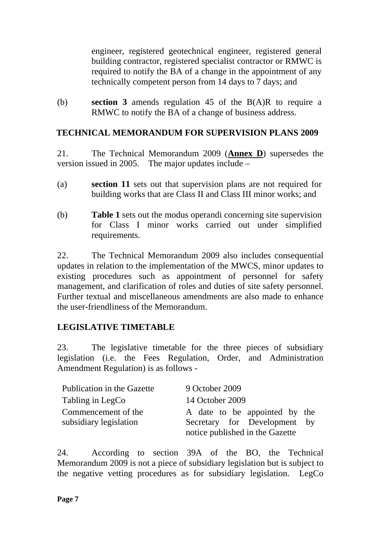engineer, registered geotechnical engineer, registered general building contractor, registered specialist contractor or RMWC is required to notify the BA of a change in the appointment of any technically competent person from 14 days to 7 days; and

(b) **section 3** amends regulation 45 of the B(A)R to require a RMWC to notify the BA of a change of business address.

# **TECHNICAL MEMORANDUM FOR SUPERVISION PLANS 2009**

21. The Technical Memorandum 2009 (**Annex D**) supersedes the version issued in 2005. The major updates include  $-$ 

- (a) **section 11** sets out that supervision plans are not required for building works that are Class II and Class III minor works; and
- (b) **Table 1** sets out the modus operandi concerning site supervision for Class I minor works carried out under simplified requirements.

22. The Technical Memorandum 2009 also includes consequential updates in relation to the implementation of the MWCS, minor updates to existing procedures such as appointment of personnel for safety management, and clarification of roles and duties of site safety personnel. Further textual and miscellaneous amendments are also made to enhance the user-friendliness of the Memorandum.

# **LEGISLATIVE TIMETABLE**

23. The legislative timetable for the three pieces of subsidiary legislation (i.e. the Fees Regulation, Order, and Administration Amendment Regulation) is as follows -

| Publication in the Gazette | 9 October 2009                  |
|----------------------------|---------------------------------|
| Tabling in LegCo           | 14 October 2009                 |
| Commencement of the        | A date to be appointed by the   |
| subsidiary legislation     | Secretary for Development by    |
|                            | notice published in the Gazette |

24. According to section 39A of the BO, the Technical Memorandum 2009 is not a piece of subsidiary legislation but is subject to the negative vetting procedures as for subsidiary legislation. LegCo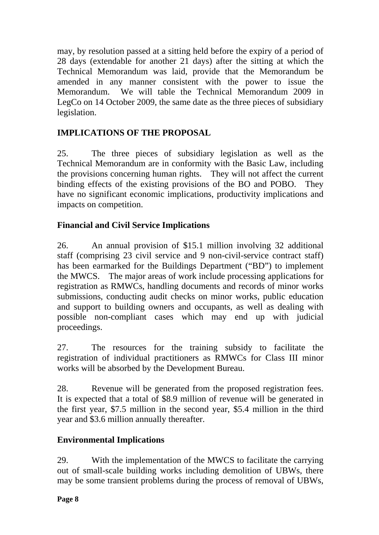may, by resolution passed at a sitting held before the expiry of a period of 28 days (extendable for another 21 days) after the sitting at which the Technical Memorandum was laid, provide that the Memorandum be amended in any manner consistent with the power to issue the Memorandum. We will table the Technical Memorandum 2009 in LegCo on 14 October 2009, the same date as the three pieces of subsidiary legislation.

# **IMPLICATIONS OF THE PROPOSAL**

25. The three pieces of subsidiary legislation as well as the Technical Memorandum are in conformity with the Basic Law, including the provisions concerning human rights. They will not affect the current binding effects of the existing provisions of the BO and POBO. They have no significant economic implications, productivity implications and impacts on competition.

# **Financial and Civil Service Implications**

26. An annual provision of \$15.1 million involving 32 additional staff (comprising 23 civil service and 9 non-civil-service contract staff) has been earmarked for the Buildings Department ("BD") to implement the MWCS. The major areas of work include processing applications for registration as RMWCs, handling documents and records of minor works submissions, conducting audit checks on minor works, public education and support to building owners and occupants, as well as dealing with possible non-compliant cases which may end up with judicial proceedings.

27. The resources for the training subsidy to facilitate the registration of individual practitioners as RMWCs for Class III minor works will be absorbed by the Development Bureau.

28. Revenue will be generated from the proposed registration fees. It is expected that a total of \$8.9 million of revenue will be generated in the first year, \$7.5 million in the second year, \$5.4 million in the third year and \$3.6 million annually thereafter.

# **Environmental Implications**

29. With the implementation of the MWCS to facilitate the carrying out of small-scale building works including demolition of UBWs, there may be some transient problems during the process of removal of UBWs,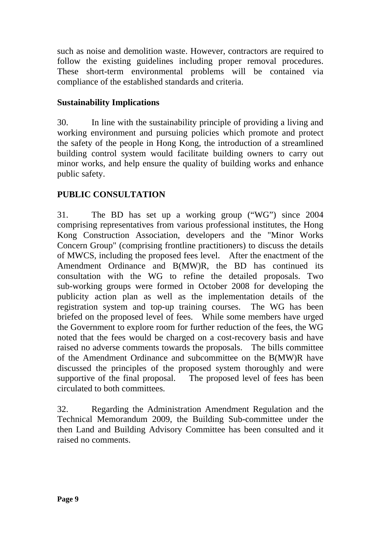such as noise and demolition waste. However, contractors are required to follow the existing guidelines including proper removal procedures. These short-term environmental problems will be contained via compliance of the established standards and criteria.

# **Sustainability Implications**

30. In line with the sustainability principle of providing a living and working environment and pursuing policies which promote and protect the safety of the people in Hong Kong, the introduction of a streamlined building control system would facilitate building owners to carry out minor works, and help ensure the quality of building works and enhance public safety.

# **PUBLIC CONSULTATION**

31. The BD has set up a working group ("WG") since 2004 comprising representatives from various professional institutes, the Hong Kong Construction Association, developers and the "Minor Works Concern Group" (comprising frontline practitioners) to discuss the details of MWCS, including the proposed fees level. After the enactment of the Amendment Ordinance and B(MW)R, the BD has continued its consultation with the WG to refine the detailed proposals. Two sub-working groups were formed in October 2008 for developing the publicity action plan as well as the implementation details of the registration system and top-up training courses. The WG has been briefed on the proposed level of fees. While some members have urged the Government to explore room for further reduction of the fees, the WG noted that the fees would be charged on a cost-recovery basis and have raised no adverse comments towards the proposals. The bills committee of the Amendment Ordinance and subcommittee on the B(MW)R have discussed the principles of the proposed system thoroughly and were supportive of the final proposal. The proposed level of fees has been circulated to both committees.

32. Regarding the Administration Amendment Regulation and the Technical Memorandum 2009, the Building Sub-committee under the then Land and Building Advisory Committee has been consulted and it raised no comments.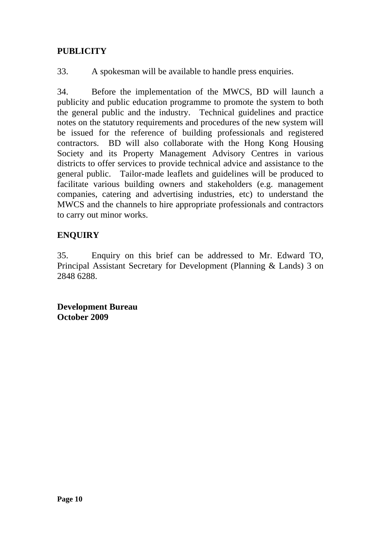# **PUBLICITY**

33. A spokesman will be available to handle press enquiries.

34. Before the implementation of the MWCS, BD will launch a publicity and public education programme to promote the system to both the general public and the industry. Technical guidelines and practice notes on the statutory requirements and procedures of the new system will be issued for the reference of building professionals and registered contractors. BD will also collaborate with the Hong Kong Housing Society and its Property Management Advisory Centres in various districts to offer services to provide technical advice and assistance to the general public. Tailor-made leaflets and guidelines will be produced to facilitate various building owners and stakeholders (e.g. management companies, catering and advertising industries, etc) to understand the MWCS and the channels to hire appropriate professionals and contractors to carry out minor works.

# **ENQUIRY**

35. Enquiry on this brief can be addressed to Mr. Edward TO, Principal Assistant Secretary for Development (Planning & Lands) 3 on 2848 6288.

**Development Bureau October 2009**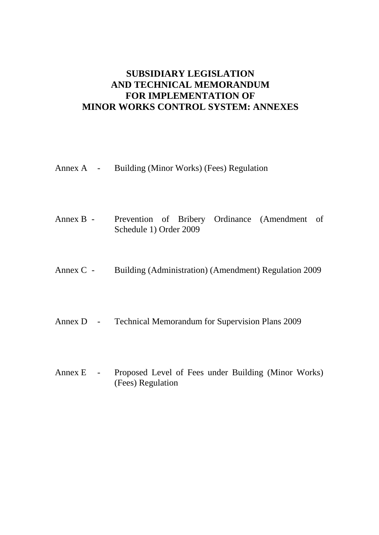# **SUBSIDIARY LEGISLATION AND TECHNICAL MEMORANDUM FOR IMPLEMENTATION OF MINOR WORKS CONTROL SYSTEM: ANNEXES**

Annex A - Building (Minor Works) (Fees) Regulation

- Annex B Prevention of Bribery Ordinance (Amendment of Schedule 1) Order 2009
- Annex C Building (Administration) (Amendment) Regulation 2009
- Annex D Technical Memorandum for Supervision Plans 2009
- Annex E Proposed Level of Fees under Building (Minor Works) (Fees) Regulation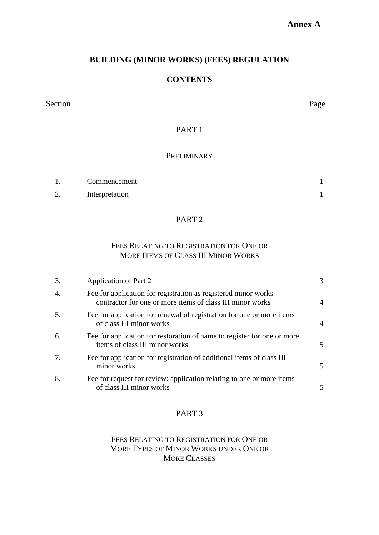## **Annex A**

## **BUILDING (MINOR WORKS) (FEES) REGULATION**

### **CONTENTS**

Section Page

## PART 1

#### **PRELIMINARY**

|                    | Commencement   |  |
|--------------------|----------------|--|
| $\sim$<br><u>L</u> | Interpretation |  |

### PART 2

### FEES RELATING TO REGISTRATION FOR ONE OR MORE ITEMS OF CLASS III MINOR WORKS

| 3. | Application of Part 2                                                                                                       | 3             |
|----|-----------------------------------------------------------------------------------------------------------------------------|---------------|
| 4. | Fee for application for registration as registered minor works<br>contractor for one or more items of class III minor works | 4             |
| 5. | Fee for application for renewal of registration for one or more items<br>of class III minor works                           | 4             |
| 6. | Fee for application for restoration of name to register for one or more<br>items of class III minor works                   | $\mathcal{F}$ |
| 7. | Fee for application for registration of additional items of class III<br>minor works                                        | 5.            |
| 8. | Fee for request for review: application relating to one or more items<br>of class III minor works                           | 5             |

## PART 3

### FEES RELATING TO REGISTRATION FOR ONE OR MORE TYPES OF MINOR WORKS UNDER ONE OR MORE CLASSES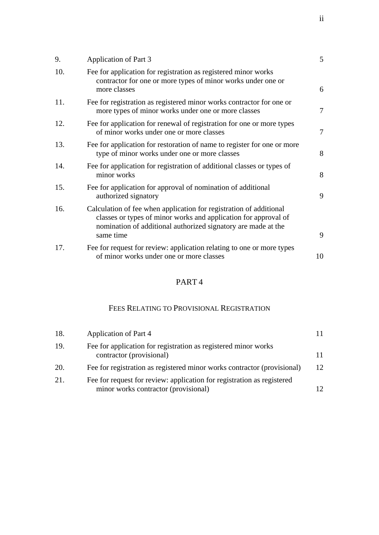| 9.  | Application of Part 3                                                                                                                                                                                               | 5      |
|-----|---------------------------------------------------------------------------------------------------------------------------------------------------------------------------------------------------------------------|--------|
| 10. | Fee for application for registration as registered minor works<br>contractor for one or more types of minor works under one or<br>more classes                                                                      | 6      |
| 11. | Fee for registration as registered minor works contractor for one or<br>more types of minor works under one or more classes                                                                                         | 7      |
| 12. | Fee for application for renewal of registration for one or more types<br>of minor works under one or more classes                                                                                                   | $\tau$ |
| 13. | Fee for application for restoration of name to register for one or more<br>type of minor works under one or more classes                                                                                            | 8      |
| 14. | Fee for application for registration of additional classes or types of<br>minor works                                                                                                                               | 8      |
| 15. | Fee for application for approval of nomination of additional<br>authorized signatory                                                                                                                                | 9      |
| 16. | Calculation of fee when application for registration of additional<br>classes or types of minor works and application for approval of<br>nomination of additional authorized signatory are made at the<br>same time | 9      |
| 17. | Fee for request for review: application relating to one or more types<br>of minor works under one or more classes                                                                                                   | 10     |

## PART 4

## FEES RELATING TO PROVISIONAL REGISTRATION

| 18. | Application of Part 4                                                                                          |    |
|-----|----------------------------------------------------------------------------------------------------------------|----|
| 19. | Fee for application for registration as registered minor works<br>contractor (provisional)                     | 11 |
| 20. | Fee for registration as registered minor works contractor (provisional)                                        | 12 |
| 21. | Fee for request for review: application for registration as registered<br>minor works contractor (provisional) |    |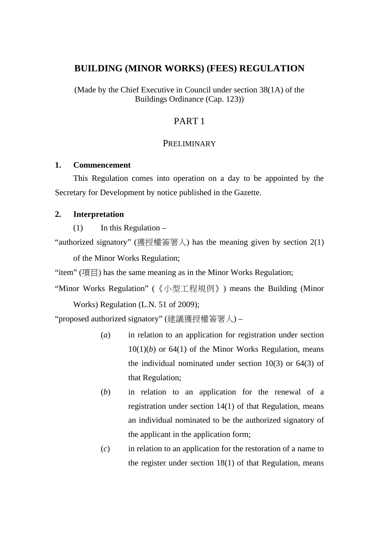## **BUILDING (MINOR WORKS) (FEES) REGULATION**

(Made by the Chief Executive in Council under section 38(1A) of the Buildings Ordinance (Cap. 123))

## PART 1

### **PRELIMINARY**

### **1. Commencement**

This Regulation comes into operation on a day to be appointed by the Secretary for Development by notice published in the Gazette.

### **2. Interpretation**

 $(1)$  In this Regulation –

"authorized signatory" (獲授權簽署人) has the meaning given by section 2(1)

of the Minor Works Regulation;

"item" (項目) has the same meaning as in the Minor Works Regulation;

"Minor Works Regulation" (《小型工程規例》) means the Building (Minor

Works) Regulation (L.N. 51 of 2009);

"proposed authorized signatory" (建議獲授權簽署人) –

- (*a*) in relation to an application for registration under section  $10(1)(b)$  or  $64(1)$  of the Minor Works Regulation, means the individual nominated under section 10(3) or 64(3) of that Regulation;
- (*b*) in relation to an application for the renewal of a registration under section 14(1) of that Regulation, means an individual nominated to be the authorized signatory of the applicant in the application form;
- (*c*) in relation to an application for the restoration of a name to the register under section 18(1) of that Regulation, means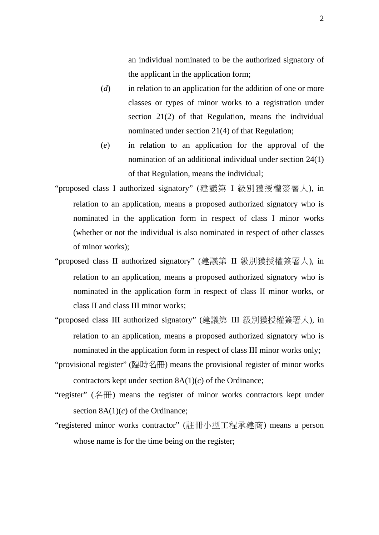an individual nominated to be the authorized signatory of the applicant in the application form;

- (*d*) in relation to an application for the addition of one or more classes or types of minor works to a registration under section 21(2) of that Regulation, means the individual nominated under section 21(4) of that Regulation;
- (*e*) in relation to an application for the approval of the nomination of an additional individual under section 24(1) of that Regulation, means the individual;
- "proposed class I authorized signatory" (建議第 I 級別獲授權簽署人), in relation to an application, means a proposed authorized signatory who is nominated in the application form in respect of class I minor works (whether or not the individual is also nominated in respect of other classes of minor works);
- "proposed class II authorized signatory" (建議第 II 級別獲授權簽署人), in relation to an application, means a proposed authorized signatory who is nominated in the application form in respect of class II minor works, or class II and class III minor works;

"proposed class III authorized signatory" (建議第 III 級別獲授權簽署人), in relation to an application, means a proposed authorized signatory who is nominated in the application form in respect of class III minor works only;

- "provisional register" (臨時名冊) means the provisional register of minor works contractors kept under section 8A(1)(*c*) of the Ordinance;
- "register" (名冊) means the register of minor works contractors kept under section 8A(1)(*c*) of the Ordinance;
- "registered minor works contractor" (註冊小型工程承建商) means a person whose name is for the time being on the register;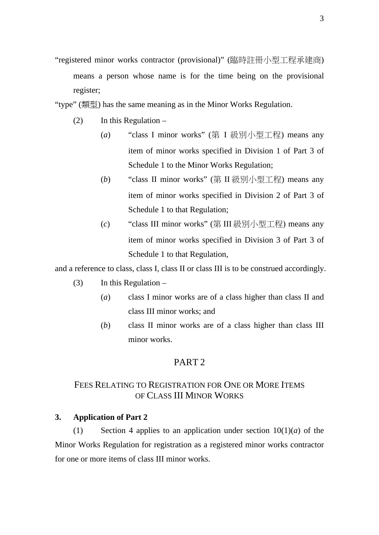- "registered minor works contractor (provisional)" (臨時註冊小型工程承建商) means a person whose name is for the time being on the provisional register;
- "type" (類型) has the same meaning as in the Minor Works Regulation.
	- (2) In this Regulation
		- (*a*) "class I minor works" (第 I 級別小型工程) means any item of minor works specified in Division 1 of Part 3 of Schedule 1 to the Minor Works Regulation;
		- (*b*) "class II minor works" (第 II 級別小型工程) means any item of minor works specified in Division 2 of Part 3 of Schedule 1 to that Regulation;
		- (*c*) "class III minor works" (第 III 級別小型工程) means any item of minor works specified in Division 3 of Part 3 of Schedule 1 to that Regulation,

and a reference to class, class I, class II or class III is to be construed accordingly.

- $(3)$  In this Regulation
	- (*a*) class I minor works are of a class higher than class II and class III minor works; and
	- (*b*) class II minor works are of a class higher than class III minor works.

### PART 2

## FEES RELATING TO REGISTRATION FOR ONE OR MORE ITEMS OF CLASS III MINOR WORKS

### **3. Application of Part 2**

(1) Section 4 applies to an application under section  $10(1)(a)$  of the Minor Works Regulation for registration as a registered minor works contractor for one or more items of class III minor works.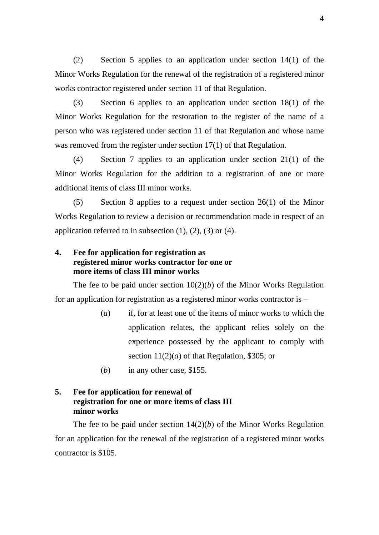(2) Section 5 applies to an application under section 14(1) of the Minor Works Regulation for the renewal of the registration of a registered minor works contractor registered under section 11 of that Regulation.

(3) Section 6 applies to an application under section 18(1) of the Minor Works Regulation for the restoration to the register of the name of a person who was registered under section 11 of that Regulation and whose name was removed from the register under section 17(1) of that Regulation.

(4) Section 7 applies to an application under section 21(1) of the Minor Works Regulation for the addition to a registration of one or more additional items of class III minor works.

(5) Section 8 applies to a request under section 26(1) of the Minor Works Regulation to review a decision or recommendation made in respect of an application referred to in subsection  $(1)$ ,  $(2)$ ,  $(3)$  or  $(4)$ .

## **4. Fee for application for registration as registered minor works contractor for one or more items of class III minor works**

The fee to be paid under section  $10(2)(b)$  of the Minor Works Regulation for an application for registration as a registered minor works contractor is –

- (*a*) if, for at least one of the items of minor works to which the application relates, the applicant relies solely on the experience possessed by the applicant to comply with section  $11(2)(a)$  of that Regulation, \$305; or
- (*b*) in any other case, \$155.

## **5. Fee for application for renewal of registration for one or more items of class III minor works**

The fee to be paid under section  $14(2)(b)$  of the Minor Works Regulation for an application for the renewal of the registration of a registered minor works contractor is \$105.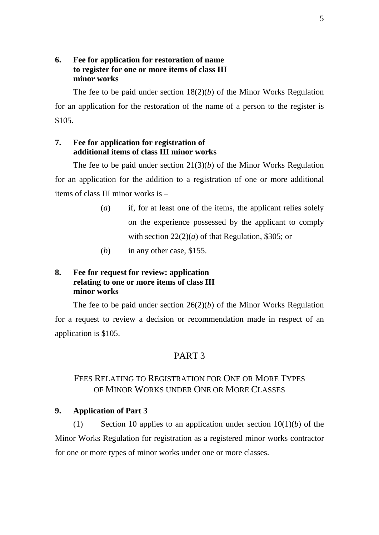## **6. Fee for application for restoration of name to register for one or more items of class III minor works**

The fee to be paid under section  $18(2)(b)$  of the Minor Works Regulation for an application for the restoration of the name of a person to the register is \$105.

## **7. Fee for application for registration of additional items of class III minor works**

The fee to be paid under section  $21(3)(b)$  of the Minor Works Regulation for an application for the addition to a registration of one or more additional items of class III minor works is –

- (*a*) if, for at least one of the items, the applicant relies solely on the experience possessed by the applicant to comply with section  $22(2)(a)$  of that Regulation, \$305; or
- (*b*) in any other case, \$155.

## **8. Fee for request for review: application relating to one or more items of class III minor works**

The fee to be paid under section  $26(2)(b)$  of the Minor Works Regulation for a request to review a decision or recommendation made in respect of an application is \$105.

## PART 3

## FEES RELATING TO REGISTRATION FOR ONE OR MORE TYPES OF MINOR WORKS UNDER ONE OR MORE CLASSES

### **9. Application of Part 3**

(1) Section 10 applies to an application under section  $10(1)(b)$  of the Minor Works Regulation for registration as a registered minor works contractor for one or more types of minor works under one or more classes.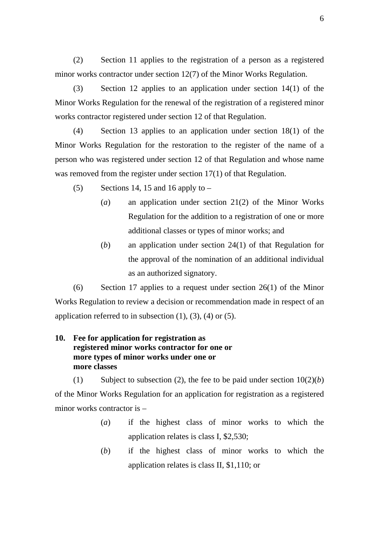(2) Section 11 applies to the registration of a person as a registered minor works contractor under section 12(7) of the Minor Works Regulation.

(3) Section 12 applies to an application under section 14(1) of the Minor Works Regulation for the renewal of the registration of a registered minor works contractor registered under section 12 of that Regulation.

(4) Section 13 applies to an application under section 18(1) of the Minor Works Regulation for the restoration to the register of the name of a person who was registered under section 12 of that Regulation and whose name was removed from the register under section 17(1) of that Regulation.

- (5) Sections 14, 15 and 16 apply to  $-$ 
	- (*a*) an application under section 21(2) of the Minor Works Regulation for the addition to a registration of one or more additional classes or types of minor works; and
	- (*b*) an application under section 24(1) of that Regulation for the approval of the nomination of an additional individual as an authorized signatory.

(6) Section 17 applies to a request under section 26(1) of the Minor Works Regulation to review a decision or recommendation made in respect of an application referred to in subsection  $(1)$ ,  $(3)$ ,  $(4)$  or  $(5)$ .

## **10. Fee for application for registration as registered minor works contractor for one or more types of minor works under one or more classes**

(1) Subject to subsection (2), the fee to be paid under section  $10(2)(b)$ of the Minor Works Regulation for an application for registration as a registered minor works contractor is –

- (*a*) if the highest class of minor works to which the application relates is class I, \$2,530;
- (*b*) if the highest class of minor works to which the application relates is class II, \$1,110; or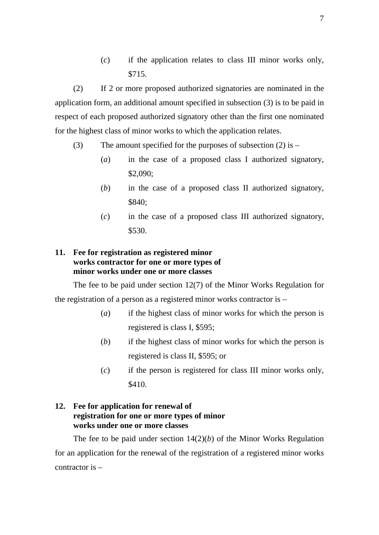(*c*) if the application relates to class III minor works only, \$715.

(2) If 2 or more proposed authorized signatories are nominated in the application form, an additional amount specified in subsection (3) is to be paid in respect of each proposed authorized signatory other than the first one nominated for the highest class of minor works to which the application relates.

- (3) The amount specified for the purposes of subsection (2) is
	- (*a*) in the case of a proposed class I authorized signatory, \$2,090;
	- (*b*) in the case of a proposed class II authorized signatory, \$840;
	- (*c*) in the case of a proposed class III authorized signatory, \$530.

## **11. Fee for registration as registered minor works contractor for one or more types of minor works under one or more classes**

The fee to be paid under section 12(7) of the Minor Works Regulation for the registration of a person as a registered minor works contractor is –

- (*a*) if the highest class of minor works for which the person is registered is class I, \$595;
- (*b*) if the highest class of minor works for which the person is registered is class II, \$595; or
- (*c*) if the person is registered for class III minor works only, \$410.

## **12. Fee for application for renewal of registration for one or more types of minor works under one or more classes**

The fee to be paid under section  $14(2)(b)$  of the Minor Works Regulation for an application for the renewal of the registration of a registered minor works contractor is –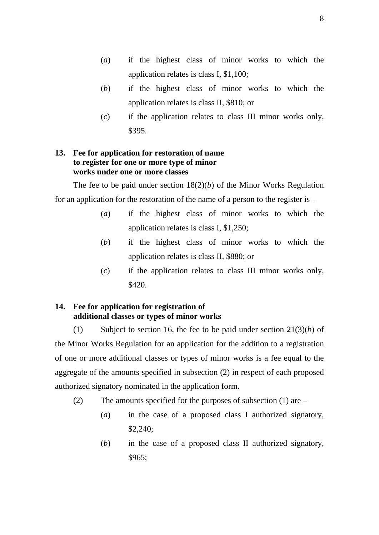- (*a*) if the highest class of minor works to which the application relates is class I, \$1,100;
- (*b*) if the highest class of minor works to which the application relates is class II, \$810; or
- (*c*) if the application relates to class III minor works only, \$395.

### **13. Fee for application for restoration of name to register for one or more type of minor works under one or more classes**

The fee to be paid under section 18(2)(*b*) of the Minor Works Regulation for an application for the restoration of the name of a person to the register is –

- (*a*) if the highest class of minor works to which the application relates is class I, \$1,250;
- (*b*) if the highest class of minor works to which the application relates is class II, \$880; or
- (*c*) if the application relates to class III minor works only, \$420.

## **14. Fee for application for registration of additional classes or types of minor works**

(1) Subject to section 16, the fee to be paid under section 21(3)(*b*) of the Minor Works Regulation for an application for the addition to a registration of one or more additional classes or types of minor works is a fee equal to the aggregate of the amounts specified in subsection (2) in respect of each proposed authorized signatory nominated in the application form.

- (2) The amounts specified for the purposes of subsection (1) are
	- (*a*) in the case of a proposed class I authorized signatory, \$2,240;
	- (*b*) in the case of a proposed class II authorized signatory, \$965;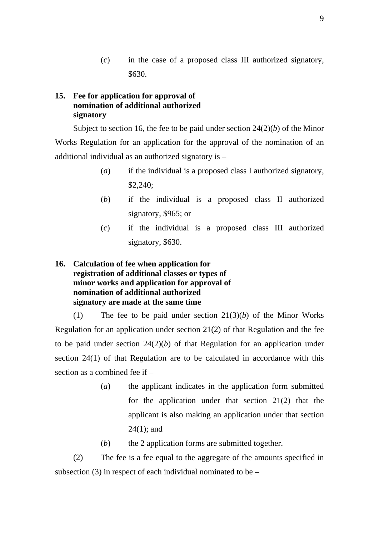(*c*) in the case of a proposed class III authorized signatory, \$630.

## **15. Fee for application for approval of nomination of additional authorized signatory**

Subject to section 16, the fee to be paid under section 24(2)(*b*) of the Minor Works Regulation for an application for the approval of the nomination of an additional individual as an authorized signatory is –

- (*a*) if the individual is a proposed class I authorized signatory, \$2,240;
- (*b*) if the individual is a proposed class II authorized signatory, \$965; or
- (*c*) if the individual is a proposed class III authorized signatory, \$630.

## **16. Calculation of fee when application for registration of additional classes or types of minor works and application for approval of nomination of additional authorized signatory are made at the same time**

(1) The fee to be paid under section 21(3)(*b*) of the Minor Works Regulation for an application under section 21(2) of that Regulation and the fee to be paid under section  $24(2)(b)$  of that Regulation for an application under section 24(1) of that Regulation are to be calculated in accordance with this section as a combined fee if –

- (*a*) the applicant indicates in the application form submitted for the application under that section 21(2) that the applicant is also making an application under that section 24(1); and
- (*b*) the 2 application forms are submitted together.

(2) The fee is a fee equal to the aggregate of the amounts specified in subsection  $(3)$  in respect of each individual nominated to be –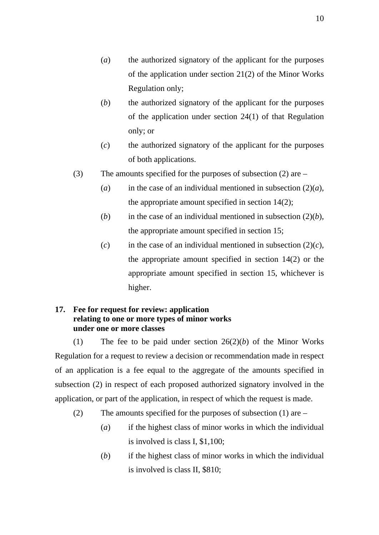- (*a*) the authorized signatory of the applicant for the purposes of the application under section 21(2) of the Minor Works Regulation only;
- (*b*) the authorized signatory of the applicant for the purposes of the application under section 24(1) of that Regulation only; or
- (*c*) the authorized signatory of the applicant for the purposes of both applications.
- (3) The amounts specified for the purposes of subsection (2) are
	- (*a*) in the case of an individual mentioned in subsection  $(2)(a)$ , the appropriate amount specified in section 14(2);
	- (*b*) in the case of an individual mentioned in subsection  $(2)(b)$ , the appropriate amount specified in section 15;
	- $(c)$  in the case of an individual mentioned in subsection  $(2)(c)$ , the appropriate amount specified in section 14(2) or the appropriate amount specified in section 15, whichever is higher.

## **17. Fee for request for review: application relating to one or more types of minor works under one or more classes**

(1) The fee to be paid under section 26(2)(*b*) of the Minor Works Regulation for a request to review a decision or recommendation made in respect of an application is a fee equal to the aggregate of the amounts specified in subsection (2) in respect of each proposed authorized signatory involved in the application, or part of the application, in respect of which the request is made.

- (2) The amounts specified for the purposes of subsection (1) are
	- (*a*) if the highest class of minor works in which the individual is involved is class I, \$1,100;
	- (*b*) if the highest class of minor works in which the individual is involved is class II, \$810;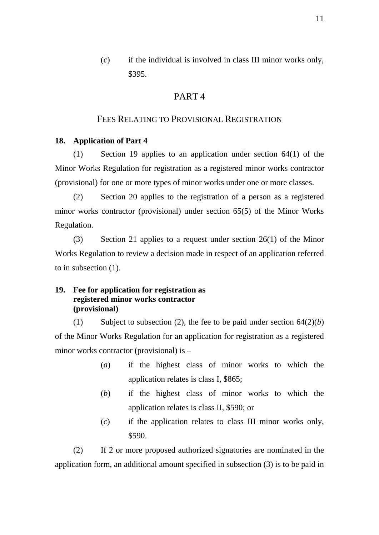(*c*) if the individual is involved in class III minor works only, \$395.

## PART 4

### FEES RELATING TO PROVISIONAL REGISTRATION

#### **18. Application of Part 4**

(1) Section 19 applies to an application under section 64(1) of the Minor Works Regulation for registration as a registered minor works contractor (provisional) for one or more types of minor works under one or more classes.

(2) Section 20 applies to the registration of a person as a registered minor works contractor (provisional) under section 65(5) of the Minor Works Regulation.

(3) Section 21 applies to a request under section 26(1) of the Minor Works Regulation to review a decision made in respect of an application referred to in subsection (1).

## **19. Fee for application for registration as registered minor works contractor (provisional)**

(1) Subject to subsection (2), the fee to be paid under section  $64(2)(b)$ of the Minor Works Regulation for an application for registration as a registered minor works contractor (provisional) is –

- (*a*) if the highest class of minor works to which the application relates is class I, \$865;
- (*b*) if the highest class of minor works to which the application relates is class II, \$590; or
- (*c*) if the application relates to class III minor works only, \$590.

(2) If 2 or more proposed authorized signatories are nominated in the application form, an additional amount specified in subsection (3) is to be paid in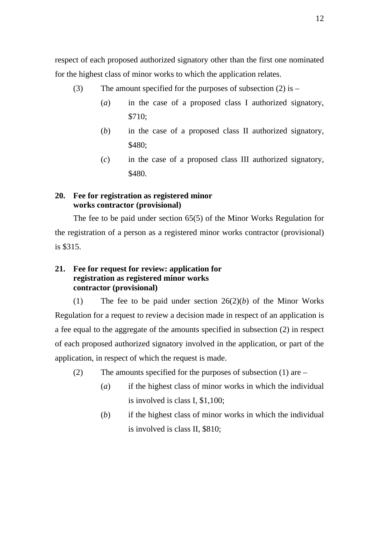respect of each proposed authorized signatory other than the first one nominated for the highest class of minor works to which the application relates.

- (3) The amount specified for the purposes of subsection (2) is
	- (*a*) in the case of a proposed class I authorized signatory, \$710;
	- (*b*) in the case of a proposed class II authorized signatory, \$480;
	- (*c*) in the case of a proposed class III authorized signatory, \$480.

## **20. Fee for registration as registered minor works contractor (provisional)**

The fee to be paid under section 65(5) of the Minor Works Regulation for the registration of a person as a registered minor works contractor (provisional) is \$315.

## **21. Fee for request for review: application for registration as registered minor works contractor (provisional)**

(1) The fee to be paid under section 26(2)(*b*) of the Minor Works Regulation for a request to review a decision made in respect of an application is a fee equal to the aggregate of the amounts specified in subsection (2) in respect of each proposed authorized signatory involved in the application, or part of the application, in respect of which the request is made.

- (2) The amounts specified for the purposes of subsection (1) are
	- (*a*) if the highest class of minor works in which the individual is involved is class I, \$1,100;
	- (*b*) if the highest class of minor works in which the individual is involved is class II, \$810;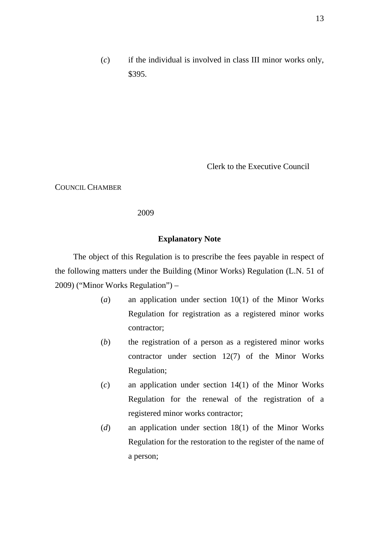(*c*) if the individual is involved in class III minor works only, \$395.

Clerk to the Executive Council

COUNCIL CHAMBER

2009

### **Explanatory Note**

The object of this Regulation is to prescribe the fees payable in respect of the following matters under the Building (Minor Works) Regulation (L.N. 51 of 2009) ("Minor Works Regulation") –

- (*a*) an application under section 10(1) of the Minor Works Regulation for registration as a registered minor works contractor;
- (*b*) the registration of a person as a registered minor works contractor under section 12(7) of the Minor Works Regulation;
- (*c*) an application under section 14(1) of the Minor Works Regulation for the renewal of the registration of a registered minor works contractor;
- (*d*) an application under section 18(1) of the Minor Works Regulation for the restoration to the register of the name of a person;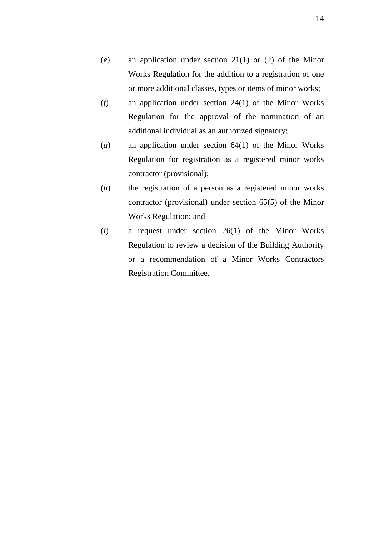- (*e*) an application under section 21(1) or (2) of the Minor Works Regulation for the addition to a registration of one or more additional classes, types or items of minor works;
- (*f*) an application under section 24(1) of the Minor Works Regulation for the approval of the nomination of an additional individual as an authorized signatory;
- (*g*) an application under section 64(1) of the Minor Works Regulation for registration as a registered minor works contractor (provisional);
- (*h*) the registration of a person as a registered minor works contractor (provisional) under section 65(5) of the Minor Works Regulation; and
- (*i*) a request under section 26(1) of the Minor Works Regulation to review a decision of the Building Authority or a recommendation of a Minor Works Contractors Registration Committee.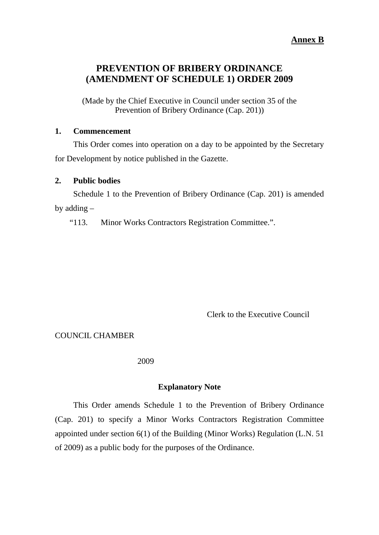### **Annex B**

## **PREVENTION OF BRIBERY ORDINANCE (AMENDMENT OF SCHEDULE 1) ORDER 2009**

(Made by the Chief Executive in Council under section 35 of the Prevention of Bribery Ordinance (Cap. 201))

### **1. Commencement**

This Order comes into operation on a day to be appointed by the Secretary for Development by notice published in the Gazette.

#### **2. Public bodies**

Schedule 1 to the Prevention of Bribery Ordinance (Cap. 201) is amended by adding –

"113. Minor Works Contractors Registration Committee.".

Clerk to the Executive Council

COUNCIL CHAMBER

### 2009

### **Explanatory Note**

This Order amends Schedule 1 to the Prevention of Bribery Ordinance (Cap. 201) to specify a Minor Works Contractors Registration Committee appointed under section 6(1) of the Building (Minor Works) Regulation (L.N. 51 of 2009) as a public body for the purposes of the Ordinance.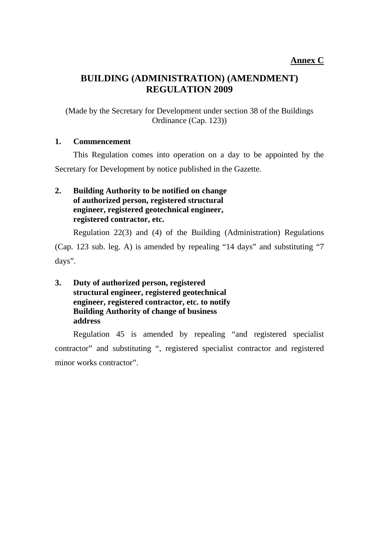# **BUILDING (ADMINISTRATION) (AMENDMENT) REGULATION 2009**

(Made by the Secretary for Development under section 38 of the Buildings Ordinance (Cap. 123))

## **1. Commencement**

This Regulation comes into operation on a day to be appointed by the Secretary for Development by notice published in the Gazette.

## **2. Building Authority to be notified on change of authorized person, registered structural engineer, registered geotechnical engineer, registered contractor, etc.**

Regulation 22(3) and (4) of the Building (Administration) Regulations (Cap. 123 sub. leg. A) is amended by repealing "14 days" and substituting "7 days".

**3. Duty of authorized person, registered structural engineer, registered geotechnical engineer, registered contractor, etc. to notify Building Authority of change of business address** 

Regulation 45 is amended by repealing "and registered specialist contractor" and substituting ", registered specialist contractor and registered minor works contractor".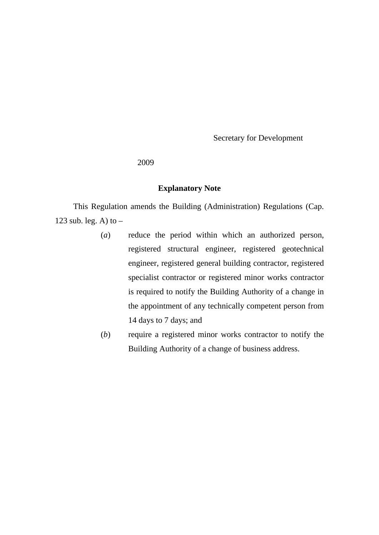Secretary for Development

2009

## **Explanatory Note**

This Regulation amends the Building (Administration) Regulations (Cap. 123 sub. leg. A) to  $-$ 

- (*a*) reduce the period within which an authorized person, registered structural engineer, registered geotechnical engineer, registered general building contractor, registered specialist contractor or registered minor works contractor is required to notify the Building Authority of a change in the appointment of any technically competent person from 14 days to 7 days; and
- (*b*) require a registered minor works contractor to notify the Building Authority of a change of business address.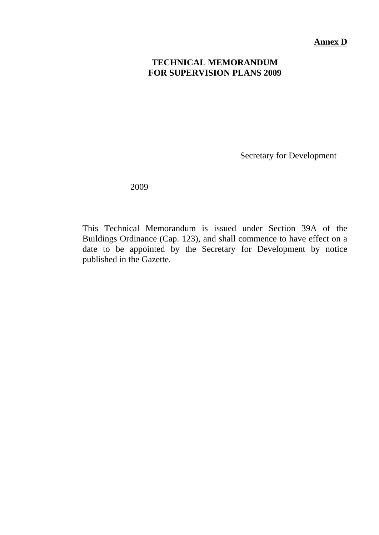**Annex D**

# **TECHNICAL MEMORANDUM FOR SUPERVISION PLANS 2009**

Secretary for Development

2009

This Technical Memorandum is issued under Section 39A of the Buildings Ordinance (Cap. 123), and shall commence to have effect on a date to be appointed by the Secretary for Development by notice published in the Gazette.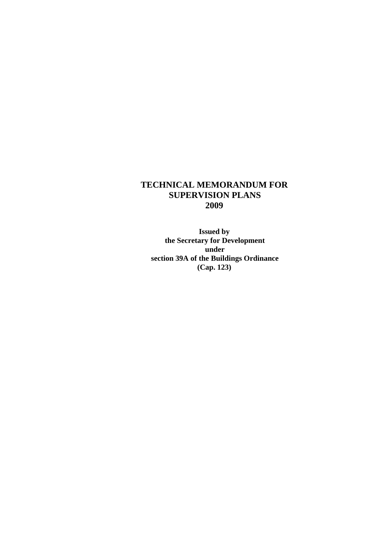## **TECHNICAL MEMORANDUM FOR SUPERVISION PLANS 2009**

**Issued by the Secretary for Development under section 39A of the Buildings Ordinance (Cap. 123)**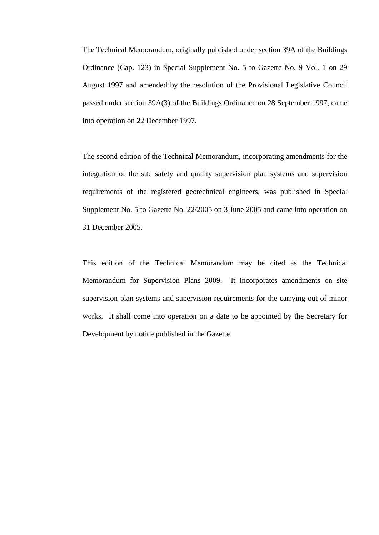The Technical Memorandum, originally published under section 39A of the Buildings Ordinance (Cap. 123) in Special Supplement No. 5 to Gazette No. 9 Vol. 1 on 29 August 1997 and amended by the resolution of the Provisional Legislative Council passed under section 39A(3) of the Buildings Ordinance on 28 September 1997, came into operation on 22 December 1997.

The second edition of the Technical Memorandum, incorporating amendments for the integration of the site safety and quality supervision plan systems and supervision requirements of the registered geotechnical engineers, was published in Special Supplement No. 5 to Gazette No. 22/2005 on 3 June 2005 and came into operation on 31 December 2005.

This edition of the Technical Memorandum may be cited as the Technical Memorandum for Supervision Plans 2009. It incorporates amendments on site supervision plan systems and supervision requirements for the carrying out of minor works. It shall come into operation on a date to be appointed by the Secretary for Development by notice published in the Gazette.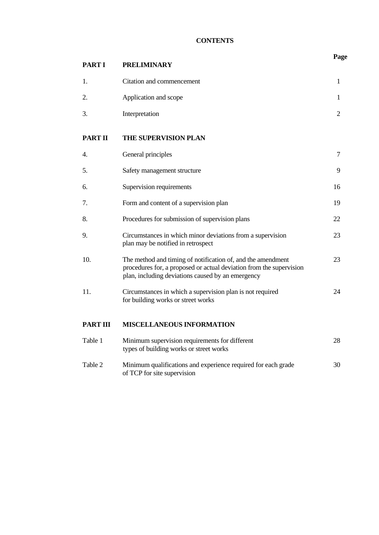## **CONTENTS**

| <b>PART I</b>   | <b>PRELIMINARY</b>                                                                                                                                                                      | Page           |
|-----------------|-----------------------------------------------------------------------------------------------------------------------------------------------------------------------------------------|----------------|
| 1.              | Citation and commencement                                                                                                                                                               | 1              |
| 2.              | Application and scope                                                                                                                                                                   | 1              |
| 3.              | Interpretation                                                                                                                                                                          | $\overline{2}$ |
| <b>PART II</b>  | THE SUPERVISION PLAN                                                                                                                                                                    |                |
| 4.              | General principles                                                                                                                                                                      | 7              |
| 5.              | Safety management structure                                                                                                                                                             | 9              |
| 6.              | Supervision requirements                                                                                                                                                                | 16             |
| 7.              | Form and content of a supervision plan                                                                                                                                                  | 19             |
| 8.              | Procedures for submission of supervision plans                                                                                                                                          | 22             |
| 9.              | Circumstances in which minor deviations from a supervision<br>plan may be notified in retrospect                                                                                        | 23             |
| 10.             | The method and timing of notification of, and the amendment<br>procedures for, a proposed or actual deviation from the supervision<br>plan, including deviations caused by an emergency | 23             |
| 11.             | Circumstances in which a supervision plan is not required<br>for building works or street works                                                                                         | 24             |
| <b>PART III</b> | <b>MISCELLANEOUS INFORMATION</b>                                                                                                                                                        |                |
| Table 1         | Minimum supervision requirements for different<br>types of building works or street works                                                                                               | 28             |
| Table 2         | Minimum qualifications and experience required for each grade                                                                                                                           | 30             |

of TCP for site supervision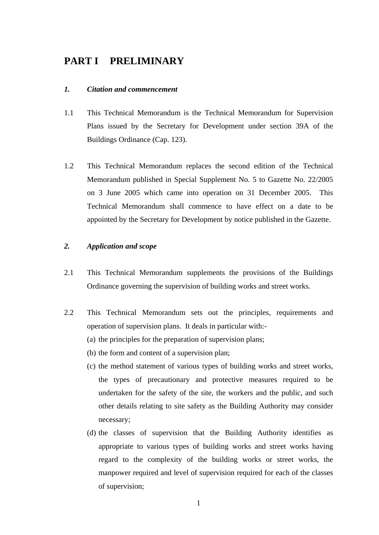# **PART I PRELIMINARY**

#### *1. Citation and commencement*

- 1.1 This Technical Memorandum is the Technical Memorandum for Supervision Plans issued by the Secretary for Development under section 39A of the Buildings Ordinance (Cap. 123).
- 1.2 This Technical Memorandum replaces the second edition of the Technical Memorandum published in Special Supplement No. 5 to Gazette No. 22/2005 on 3 June 2005 which came into operation on 31 December 2005. This Technical Memorandum shall commence to have effect on a date to be appointed by the Secretary for Development by notice published in the Gazette.

#### *2. Application and scope*

- 2.1 This Technical Memorandum supplements the provisions of the Buildings Ordinance governing the supervision of building works and street works.
- 2.2 This Technical Memorandum sets out the principles, requirements and operation of supervision plans. It deals in particular with:-
	- (a) the principles for the preparation of supervision plans;
	- (b) the form and content of a supervision plan;
	- (c) the method statement of various types of building works and street works, the types of precautionary and protective measures required to be undertaken for the safety of the site, the workers and the public, and such other details relating to site safety as the Building Authority may consider necessary;
	- (d) the classes of supervision that the Building Authority identifies as appropriate to various types of building works and street works having regard to the complexity of the building works or street works, the manpower required and level of supervision required for each of the classes of supervision;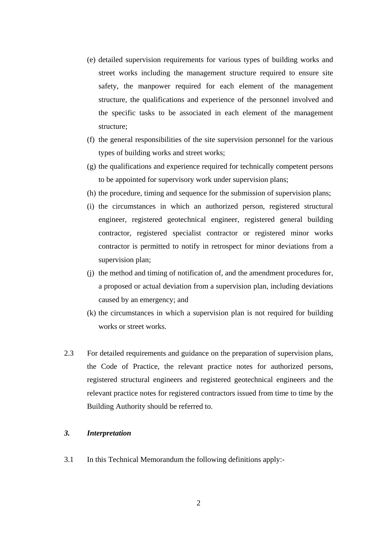- (e) detailed supervision requirements for various types of building works and street works including the management structure required to ensure site safety, the manpower required for each element of the management structure, the qualifications and experience of the personnel involved and the specific tasks to be associated in each element of the management structure;
- (f) the general responsibilities of the site supervision personnel for the various types of building works and street works;
- (g) the qualifications and experience required for technically competent persons to be appointed for supervisory work under supervision plans;
- (h) the procedure, timing and sequence for the submission of supervision plans;
- (i) the circumstances in which an authorized person, registered structural engineer, registered geotechnical engineer, registered general building contractor, registered specialist contractor or registered minor works contractor is permitted to notify in retrospect for minor deviations from a supervision plan;
- (j) the method and timing of notification of, and the amendment procedures for, a proposed or actual deviation from a supervision plan, including deviations caused by an emergency; and
- (k) the circumstances in which a supervision plan is not required for building works or street works.
- 2.3 For detailed requirements and guidance on the preparation of supervision plans, the Code of Practice, the relevant practice notes for authorized persons, registered structural engineers and registered geotechnical engineers and the relevant practice notes for registered contractors issued from time to time by the Building Authority should be referred to.

#### *3. Interpretation*

3.1 In this Technical Memorandum the following definitions apply:-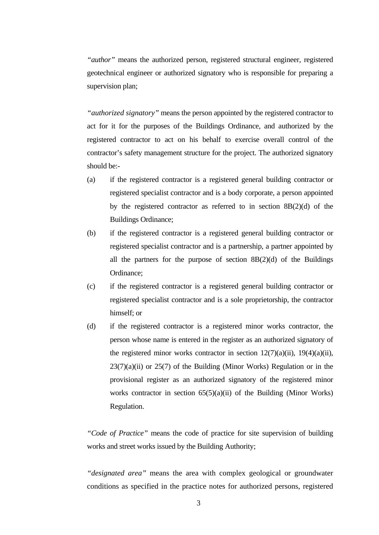*"author"* means the authorized person, registered structural engineer, registered geotechnical engineer or authorized signatory who is responsible for preparing a supervision plan;

*"authorized signatory"* means the person appointed by the registered contractor to act for it for the purposes of the Buildings Ordinance, and authorized by the registered contractor to act on his behalf to exercise overall control of the contractor's safety management structure for the project. The authorized signatory should be:-

- (a) if the registered contractor is a registered general building contractor or registered specialist contractor and is a body corporate, a person appointed by the registered contractor as referred to in section 8B(2)(d) of the Buildings Ordinance;
- (b) if the registered contractor is a registered general building contractor or registered specialist contractor and is a partnership, a partner appointed by all the partners for the purpose of section  $8B(2)(d)$  of the Buildings Ordinance;
- (c) if the registered contractor is a registered general building contractor or registered specialist contractor and is a sole proprietorship, the contractor himself; or
- (d) if the registered contractor is a registered minor works contractor, the person whose name is entered in the register as an authorized signatory of the registered minor works contractor in section  $12(7)(a)(ii)$ ,  $19(4)(a)(ii)$ ,  $23(7)(a)(ii)$  or  $25(7)$  of the Building (Minor Works) Regulation or in the provisional register as an authorized signatory of the registered minor works contractor in section  $65(5)(a)(ii)$  of the Building (Minor Works) Regulation.

*"Code of Practice"* means the code of practice for site supervision of building works and street works issued by the Building Authority;

*"designated area"* means the area with complex geological or groundwater conditions as specified in the practice notes for authorized persons, registered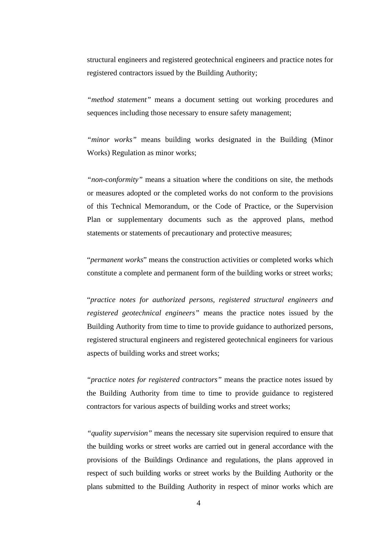structural engineers and registered geotechnical engineers and practice notes for registered contractors issued by the Building Authority;

*"method statement"* means a document setting out working procedures and sequences including those necessary to ensure safety management;

 *"minor works"* means building works designated in the Building (Minor Works) Regulation as minor works;

*"non-conformity"* means a situation where the conditions on site, the methods or measures adopted or the completed works do not conform to the provisions of this Technical Memorandum, or the Code of Practice, or the Supervision Plan or supplementary documents such as the approved plans, method statements or statements of precautionary and protective measures;

 "*permanent works*" means the construction activities or completed works which constitute a complete and permanent form of the building works or street works;

 "*practice notes for authorized persons, registered structural engineers and registered geotechnical engineers"* means the practice notes issued by the Building Authority from time to time to provide guidance to authorized persons, registered structural engineers and registered geotechnical engineers for various aspects of building works and street works;

*"practice notes for registered contractors"* means the practice notes issued by the Building Authority from time to time to provide guidance to registered contractors for various aspects of building works and street works;

*"quality supervision"* means the necessary site supervision required to ensure that the building works or street works are carried out in general accordance with the provisions of the Buildings Ordinance and regulations, the plans approved in respect of such building works or street works by the Building Authority or the plans submitted to the Building Authority in respect of minor works which are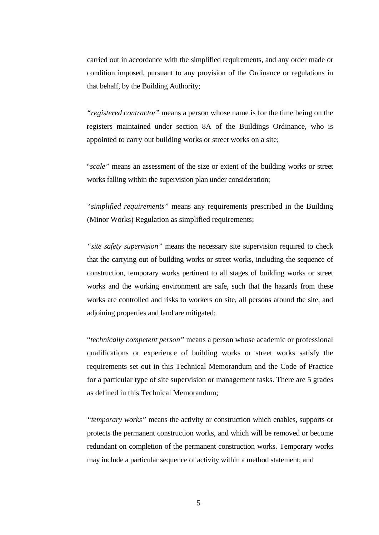carried out in accordance with the simplified requirements, and any order made or condition imposed, pursuant to any provision of the Ordinance or regulations in that behalf, by the Building Authority;

*"registered contractor*" means a person whose name is for the time being on the registers maintained under section 8A of the Buildings Ordinance, who is appointed to carry out building works or street works on a site;

"*scale"* means an assessment of the size or extent of the building works or street works falling within the supervision plan under consideration;

*"simplified requirements"* means any requirements prescribed in the Building (Minor Works) Regulation as simplified requirements;

*"site safety supervision"* means the necessary site supervision required to check that the carrying out of building works or street works, including the sequence of construction, temporary works pertinent to all stages of building works or street works and the working environment are safe, such that the hazards from these works are controlled and risks to workers on site, all persons around the site, and adjoining properties and land are mitigated;

 "*technically competent person"* means a person whose academic or professional qualifications or experience of building works or street works satisfy the requirements set out in this Technical Memorandum and the Code of Practice for a particular type of site supervision or management tasks. There are 5 grades as defined in this Technical Memorandum;

*"temporary works"* means the activity or construction which enables, supports or protects the permanent construction works, and which will be removed or become redundant on completion of the permanent construction works. Temporary works may include a particular sequence of activity within a method statement; and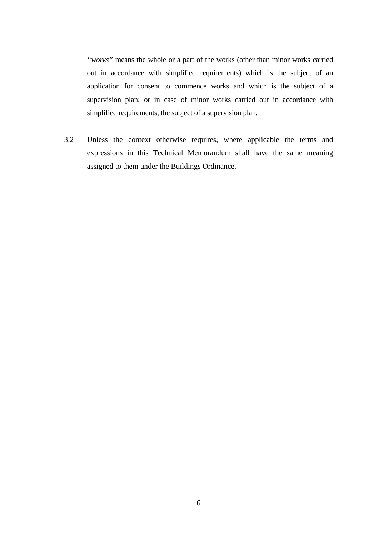*"works"* means the whole or a part of the works (other than minor works carried out in accordance with simplified requirements) which is the subject of an application for consent to commence works and which is the subject of a supervision plan; or in case of minor works carried out in accordance with simplified requirements, the subject of a supervision plan.

3.2 Unless the context otherwise requires, where applicable the terms and expressions in this Technical Memorandum shall have the same meaning assigned to them under the Buildings Ordinance.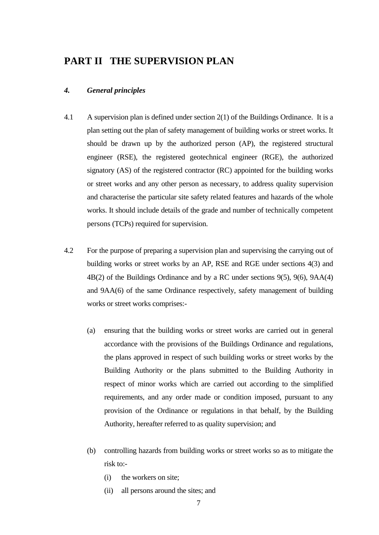## **PART II THE SUPERVISION PLAN**

#### *4. General principles*

- 4.1 A supervision plan is defined under section 2(1) of the Buildings Ordinance. It is a plan setting out the plan of safety management of building works or street works. It should be drawn up by the authorized person (AP), the registered structural engineer (RSE), the registered geotechnical engineer (RGE), the authorized signatory (AS) of the registered contractor (RC) appointed for the building works or street works and any other person as necessary, to address quality supervision and characterise the particular site safety related features and hazards of the whole works. It should include details of the grade and number of technically competent persons (TCPs) required for supervision.
- 4.2 For the purpose of preparing a supervision plan and supervising the carrying out of building works or street works by an AP, RSE and RGE under sections 4(3) and 4B(2) of the Buildings Ordinance and by a RC under sections 9(5), 9(6), 9AA(4) and 9AA(6) of the same Ordinance respectively, safety management of building works or street works comprises:-
	- (a) ensuring that the building works or street works are carried out in general accordance with the provisions of the Buildings Ordinance and regulations, the plans approved in respect of such building works or street works by the Building Authority or the plans submitted to the Building Authority in respect of minor works which are carried out according to the simplified requirements, and any order made or condition imposed, pursuant to any provision of the Ordinance or regulations in that behalf, by the Building Authority, hereafter referred to as quality supervision; and
	- (b) controlling hazards from building works or street works so as to mitigate the risk to:-
		- (i) the workers on site;
		- (ii) all persons around the sites; and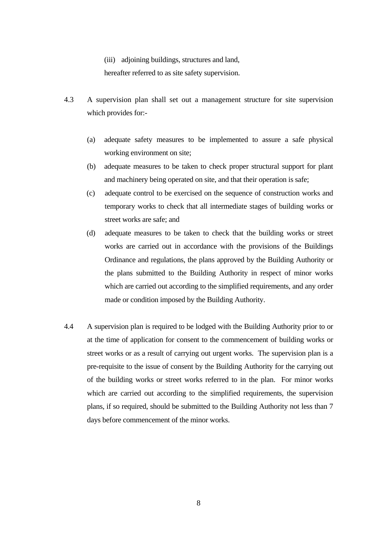(iii) adjoining buildings, structures and land,

hereafter referred to as site safety supervision.

- 4.3 A supervision plan shall set out a management structure for site supervision which provides for:-
	- (a) adequate safety measures to be implemented to assure a safe physical working environment on site;
	- (b) adequate measures to be taken to check proper structural support for plant and machinery being operated on site, and that their operation is safe;
	- (c) adequate control to be exercised on the sequence of construction works and temporary works to check that all intermediate stages of building works or street works are safe; and
	- (d) adequate measures to be taken to check that the building works or street works are carried out in accordance with the provisions of the Buildings Ordinance and regulations, the plans approved by the Building Authority or the plans submitted to the Building Authority in respect of minor works which are carried out according to the simplified requirements, and any order made or condition imposed by the Building Authority.
- 4.4 A supervision plan is required to be lodged with the Building Authority prior to or at the time of application for consent to the commencement of building works or street works or as a result of carrying out urgent works. The supervision plan is a pre-requisite to the issue of consent by the Building Authority for the carrying out of the building works or street works referred to in the plan. For minor works which are carried out according to the simplified requirements, the supervision plans, if so required, should be submitted to the Building Authority not less than 7 days before commencement of the minor works.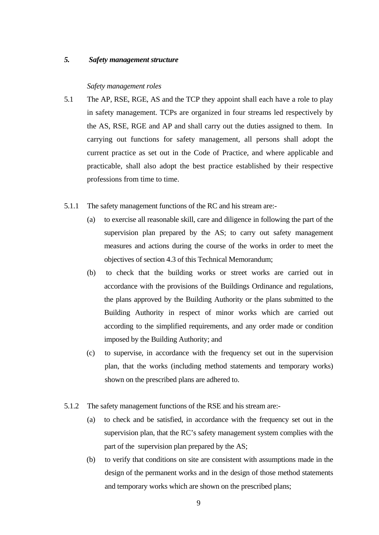#### *5. Safety management structure*

#### *Safety management roles*

- 5.1 The AP, RSE, RGE, AS and the TCP they appoint shall each have a role to play in safety management. TCPs are organized in four streams led respectively by the AS, RSE, RGE and AP and shall carry out the duties assigned to them. In carrying out functions for safety management, all persons shall adopt the current practice as set out in the Code of Practice, and where applicable and practicable, shall also adopt the best practice established by their respective professions from time to time.
- 5.1.1 The safety management functions of the RC and his stream are:-
	- (a) to exercise all reasonable skill, care and diligence in following the part of the supervision plan prepared by the AS; to carry out safety management measures and actions during the course of the works in order to meet the objectives of section 4.3 of this Technical Memorandum;
	- (b) to check that the building works or street works are carried out in accordance with the provisions of the Buildings Ordinance and regulations, the plans approved by the Building Authority or the plans submitted to the Building Authority in respect of minor works which are carried out according to the simplified requirements, and any order made or condition imposed by the Building Authority; and
	- (c) to supervise, in accordance with the frequency set out in the supervision plan, that the works (including method statements and temporary works) shown on the prescribed plans are adhered to.
- 5.1.2 The safety management functions of the RSE and his stream are:-
	- (a) to check and be satisfied, in accordance with the frequency set out in the supervision plan, that the RC's safety management system complies with the part of the supervision plan prepared by the AS;
	- (b) to verify that conditions on site are consistent with assumptions made in the design of the permanent works and in the design of those method statements and temporary works which are shown on the prescribed plans;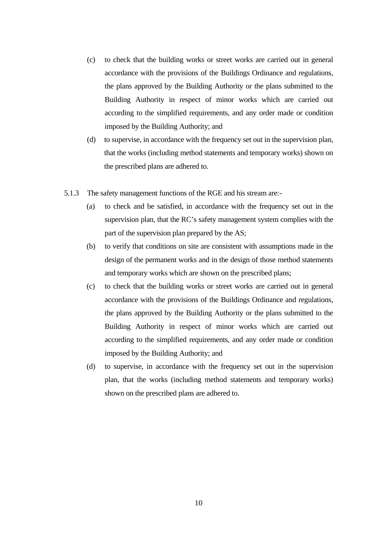- (c) to check that the building works or street works are carried out in general accordance with the provisions of the Buildings Ordinance and regulations, the plans approved by the Building Authority or the plans submitted to the Building Authority in respect of minor works which are carried out according to the simplified requirements, and any order made or condition imposed by the Building Authority; and
- (d) to supervise, in accordance with the frequency set out in the supervision plan, that the works (including method statements and temporary works) shown on the prescribed plans are adhered to.
- 5.1.3 The safety management functions of the RGE and his stream are:-
	- (a) to check and be satisfied, in accordance with the frequency set out in the supervision plan, that the RC's safety management system complies with the part of the supervision plan prepared by the AS;
	- (b) to verify that conditions on site are consistent with assumptions made in the design of the permanent works and in the design of those method statements and temporary works which are shown on the prescribed plans;
	- (c) to check that the building works or street works are carried out in general accordance with the provisions of the Buildings Ordinance and regulations, the plans approved by the Building Authority or the plans submitted to the Building Authority in respect of minor works which are carried out according to the simplified requirements, and any order made or condition imposed by the Building Authority; and
	- (d) to supervise, in accordance with the frequency set out in the supervision plan, that the works (including method statements and temporary works) shown on the prescribed plans are adhered to.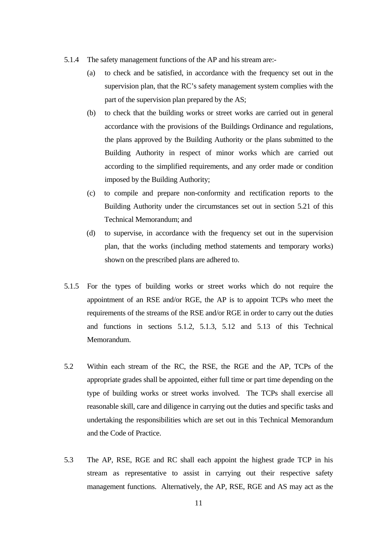- 5.1.4 The safety management functions of the AP and his stream are:-
	- (a) to check and be satisfied, in accordance with the frequency set out in the supervision plan, that the RC's safety management system complies with the part of the supervision plan prepared by the AS;
	- (b) to check that the building works or street works are carried out in general accordance with the provisions of the Buildings Ordinance and regulations, the plans approved by the Building Authority or the plans submitted to the Building Authority in respect of minor works which are carried out according to the simplified requirements, and any order made or condition imposed by the Building Authority;
	- (c) to compile and prepare non-conformity and rectification reports to the Building Authority under the circumstances set out in section 5.21 of this Technical Memorandum; and
	- (d) to supervise, in accordance with the frequency set out in the supervision plan, that the works (including method statements and temporary works) shown on the prescribed plans are adhered to.
- 5.1.5 For the types of building works or street works which do not require the appointment of an RSE and/or RGE, the AP is to appoint TCPs who meet the requirements of the streams of the RSE and/or RGE in order to carry out the duties and functions in sections 5.1.2, 5.1.3, 5.12 and 5.13 of this Technical Memorandum.
- 5.2 Within each stream of the RC, the RSE, the RGE and the AP, TCPs of the appropriate grades shall be appointed, either full time or part time depending on the type of building works or street works involved. The TCPs shall exercise all reasonable skill, care and diligence in carrying out the duties and specific tasks and undertaking the responsibilities which are set out in this Technical Memorandum and the Code of Practice.
- 5.3 The AP, RSE, RGE and RC shall each appoint the highest grade TCP in his stream as representative to assist in carrying out their respective safety management functions. Alternatively, the AP, RSE, RGE and AS may act as the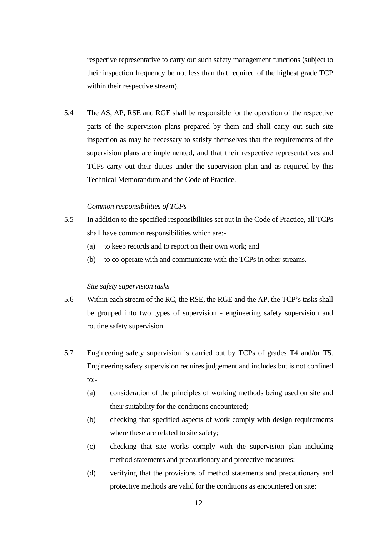respective representative to carry out such safety management functions (subject to their inspection frequency be not less than that required of the highest grade TCP within their respective stream).

5.4 The AS, AP, RSE and RGE shall be responsible for the operation of the respective parts of the supervision plans prepared by them and shall carry out such site inspection as may be necessary to satisfy themselves that the requirements of the supervision plans are implemented, and that their respective representatives and TCPs carry out their duties under the supervision plan and as required by this Technical Memorandum and the Code of Practice.

#### *Common responsibilities of TCPs*

- 5.5 In addition to the specified responsibilities set out in the Code of Practice, all TCPs shall have common responsibilities which are:-
	- (a) to keep records and to report on their own work; and
	- (b) to co-operate with and communicate with the TCPs in other streams.

#### *Site safety supervision tasks*

- 5.6 Within each stream of the RC, the RSE, the RGE and the AP, the TCP's tasks shall be grouped into two types of supervision - engineering safety supervision and routine safety supervision.
- 5.7 Engineering safety supervision is carried out by TCPs of grades T4 and/or T5. Engineering safety supervision requires judgement and includes but is not confined  $\text{to:}$ 
	- (a) consideration of the principles of working methods being used on site and their suitability for the conditions encountered;
	- (b) checking that specified aspects of work comply with design requirements where these are related to site safety;
	- (c) checking that site works comply with the supervision plan including method statements and precautionary and protective measures;
	- (d) verifying that the provisions of method statements and precautionary and protective methods are valid for the conditions as encountered on site;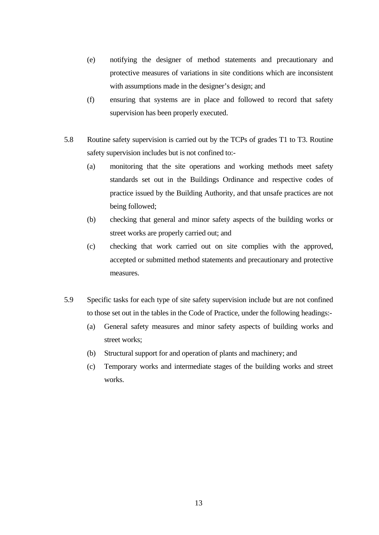- (e) notifying the designer of method statements and precautionary and protective measures of variations in site conditions which are inconsistent with assumptions made in the designer's design; and
- (f) ensuring that systems are in place and followed to record that safety supervision has been properly executed.
- 5.8 Routine safety supervision is carried out by the TCPs of grades T1 to T3. Routine safety supervision includes but is not confined to:-
	- (a) monitoring that the site operations and working methods meet safety standards set out in the Buildings Ordinance and respective codes of practice issued by the Building Authority, and that unsafe practices are not being followed;
	- (b) checking that general and minor safety aspects of the building works or street works are properly carried out; and
	- (c) checking that work carried out on site complies with the approved, accepted or submitted method statements and precautionary and protective measures.
- 5.9 Specific tasks for each type of site safety supervision include but are not confined to those set out in the tables in the Code of Practice, under the following headings:-
	- (a) General safety measures and minor safety aspects of building works and street works;
	- (b) Structural support for and operation of plants and machinery; and
	- (c) Temporary works and intermediate stages of the building works and street works.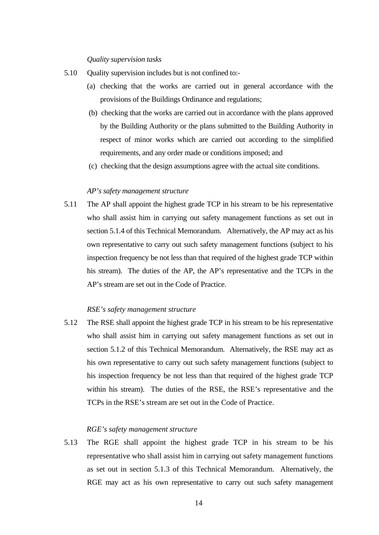*Quality supervision tasks* 

- 5.10 Quality supervision includes but is not confined to:-
	- (a) checking that the works are carried out in general accordance with the provisions of the Buildings Ordinance and regulations;
	- (b) checking that the works are carried out in accordance with the plans approved by the Building Authority or the plans submitted to the Building Authority in respect of minor works which are carried out according to the simplified requirements, and any order made or conditions imposed; and
	- (c) checking that the design assumptions agree with the actual site conditions.

#### *AP's safety management structure*

5.11 The AP shall appoint the highest grade TCP in his stream to be his representative who shall assist him in carrying out safety management functions as set out in section 5.1.4 of this Technical Memorandum. Alternatively, the AP may act as his own representative to carry out such safety management functions (subject to his inspection frequency be not less than that required of the highest grade TCP within his stream). The duties of the AP, the AP's representative and the TCPs in the AP's stream are set out in the Code of Practice.

#### *RSE's safety management structure*

5.12 The RSE shall appoint the highest grade TCP in his stream to be his representative who shall assist him in carrying out safety management functions as set out in section 5.1.2 of this Technical Memorandum. Alternatively, the RSE may act as his own representative to carry out such safety management functions (subject to his inspection frequency be not less than that required of the highest grade TCP within his stream). The duties of the RSE, the RSE's representative and the TCPs in the RSE's stream are set out in the Code of Practice.

#### *RGE's safety management structure*

5.13 The RGE shall appoint the highest grade TCP in his stream to be his representative who shall assist him in carrying out safety management functions as set out in section 5.1.3 of this Technical Memorandum. Alternatively, the RGE may act as his own representative to carry out such safety management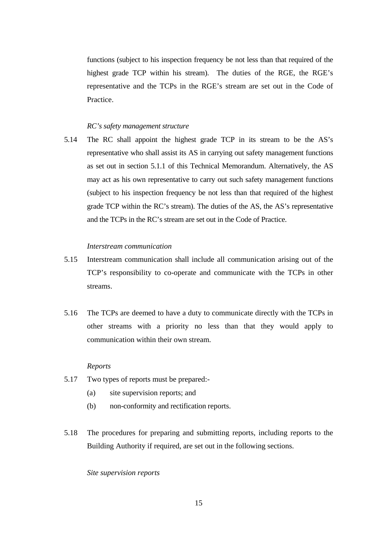functions (subject to his inspection frequency be not less than that required of the highest grade TCP within his stream). The duties of the RGE, the RGE's representative and the TCPs in the RGE's stream are set out in the Code of Practice.

#### *RC's safety management structure*

5.14 The RC shall appoint the highest grade TCP in its stream to be the AS's representative who shall assist its AS in carrying out safety management functions as set out in section 5.1.1 of this Technical Memorandum. Alternatively, the AS may act as his own representative to carry out such safety management functions (subject to his inspection frequency be not less than that required of the highest grade TCP within the RC's stream). The duties of the AS, the AS's representative and the TCPs in the RC's stream are set out in the Code of Practice.

#### *Interstream communication*

- 5.15 Interstream communication shall include all communication arising out of the TCP's responsibility to co-operate and communicate with the TCPs in other streams.
- 5.16 The TCPs are deemed to have a duty to communicate directly with the TCPs in other streams with a priority no less than that they would apply to communication within their own stream.

#### *Reports*

- 5.17 Two types of reports must be prepared:-
	- (a) site supervision reports; and
	- (b) non-conformity and rectification reports.
- 5.18 The procedures for preparing and submitting reports, including reports to the Building Authority if required, are set out in the following sections.

#### *Site supervision reports*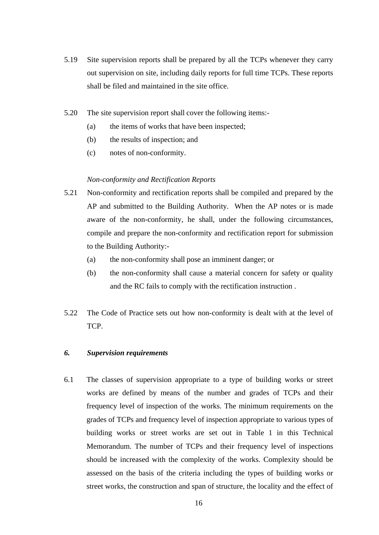- 5.19 Site supervision reports shall be prepared by all the TCPs whenever they carry out supervision on site, including daily reports for full time TCPs. These reports shall be filed and maintained in the site office.
- 5.20 The site supervision report shall cover the following items:-
	- (a) the items of works that have been inspected;
	- (b) the results of inspection; and
	- (c) notes of non-conformity.

#### *Non-conformity and Rectification Reports*

- 5.21 Non-conformity and rectification reports shall be compiled and prepared by the AP and submitted to the Building Authority. When the AP notes or is made aware of the non-conformity, he shall, under the following circumstances, compile and prepare the non-conformity and rectification report for submission to the Building Authority:-
	- (a) the non-conformity shall pose an imminent danger; or
	- (b) the non-conformity shall cause a material concern for safety or quality and the RC fails to comply with the rectification instruction .
- 5.22 The Code of Practice sets out how non-conformity is dealt with at the level of TCP.

#### *6. Supervision requirements*

6.1 The classes of supervision appropriate to a type of building works or street works are defined by means of the number and grades of TCPs and their frequency level of inspection of the works. The minimum requirements on the grades of TCPs and frequency level of inspection appropriate to various types of building works or street works are set out in Table 1 in this Technical Memorandum. The number of TCPs and their frequency level of inspections should be increased with the complexity of the works. Complexity should be assessed on the basis of the criteria including the types of building works or street works, the construction and span of structure, the locality and the effect of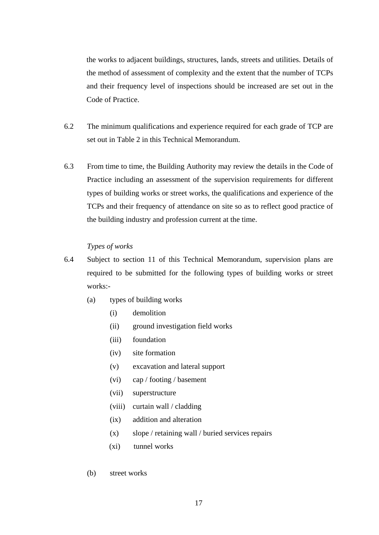the works to adjacent buildings, structures, lands, streets and utilities. Details of the method of assessment of complexity and the extent that the number of TCPs and their frequency level of inspections should be increased are set out in the Code of Practice.

- 6.2 The minimum qualifications and experience required for each grade of TCP are set out in Table 2 in this Technical Memorandum.
- 6.3 From time to time, the Building Authority may review the details in the Code of Practice including an assessment of the supervision requirements for different types of building works or street works, the qualifications and experience of the TCPs and their frequency of attendance on site so as to reflect good practice of the building industry and profession current at the time.

#### *Types of works*

- 6.4 Subject to section 11 of this Technical Memorandum, supervision plans are required to be submitted for the following types of building works or street works:-
	- (a) types of building works
		- (i) demolition
		- (ii) ground investigation field works
		- (iii) foundation
		- (iv) site formation
		- (v) excavation and lateral support
		- (vi) cap / footing / basement
		- (vii) superstructure
		- (viii) curtain wall / cladding
		- (ix) addition and alteration
		- (x) slope / retaining wall / buried services repairs
		- (xi) tunnel works
	- (b) street works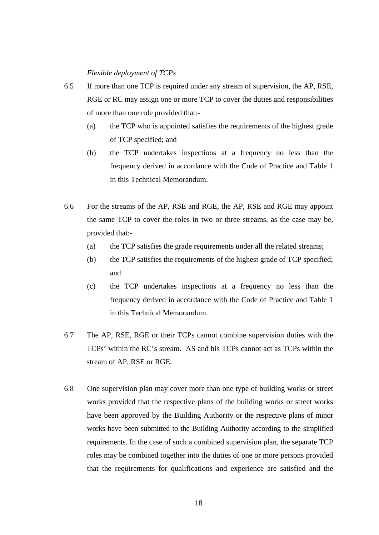#### *Flexible deployment of TCPs*

- 6.5 If more than one TCP is required under any stream of supervision, the AP, RSE, RGE or RC may assign one or more TCP to cover the duties and responsibilities of more than one role provided that:-
	- (a) the TCP who is appointed satisfies the requirements of the highest grade of TCP specified; and
	- (b) the TCP undertakes inspections at a frequency no less than the frequency derived in accordance with the Code of Practice and Table 1 in this Technical Memorandum.
- 6.6 For the streams of the AP, RSE and RGE, the AP, RSE and RGE may appoint the same TCP to cover the roles in two or three streams, as the case may be, provided that:-
	- (a) the TCP satisfies the grade requirements under all the related streams;
	- (b) the TCP satisfies the requirements of the highest grade of TCP specified; and
	- (c) the TCP undertakes inspections at a frequency no less than the frequency derived in accordance with the Code of Practice and Table 1 in this Technical Memorandum.
- 6.7 The AP, RSE, RGE or their TCPs cannot combine supervision duties with the TCPs' within the RC's stream. AS and his TCPs cannot act as TCPs within the stream of AP, RSE or RGE.
- 6.8 One supervision plan may cover more than one type of building works or street works provided that the respective plans of the building works or street works have been approved by the Building Authority or the respective plans of minor works have been submitted to the Building Authority according to the simplified requirements. In the case of such a combined supervision plan, the separate TCP roles may be combined together into the duties of one or more persons provided that the requirements for qualifications and experience are satisfied and the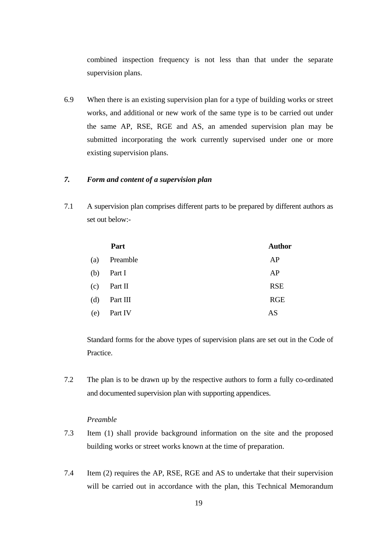combined inspection frequency is not less than that under the separate supervision plans.

6.9 When there is an existing supervision plan for a type of building works or street works, and additional or new work of the same type is to be carried out under the same AP, RSE, RGE and AS, an amended supervision plan may be submitted incorporating the work currently supervised under one or more existing supervision plans.

#### *7. Form and content of a supervision plan*

7.1 A supervision plan comprises different parts to be prepared by different authors as set out below:-

|     | Part     | <b>Author</b> |
|-----|----------|---------------|
| (a) | Preamble | AP            |
| (b) | Part I   | AP            |
| (c) | Part II  | <b>RSE</b>    |
| (d) | Part III | <b>RGE</b>    |
| (e) | Part IV  | AS            |

Standard forms for the above types of supervision plans are set out in the Code of **Practice** 

7.2 The plan is to be drawn up by the respective authors to form a fully co-ordinated and documented supervision plan with supporting appendices.

#### *Preamble*

- 7.3 Item (1) shall provide background information on the site and the proposed building works or street works known at the time of preparation.
- 7.4 Item (2) requires the AP, RSE, RGE and AS to undertake that their supervision will be carried out in accordance with the plan, this Technical Memorandum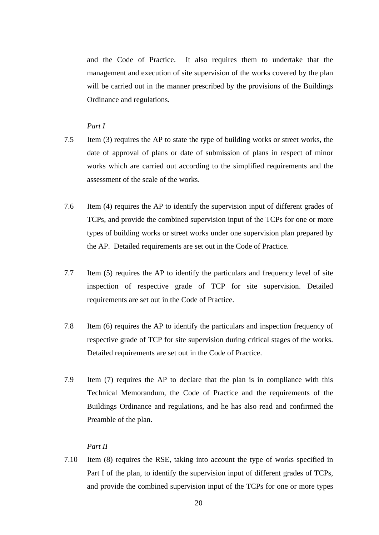and the Code of Practice. It also requires them to undertake that the management and execution of site supervision of the works covered by the plan will be carried out in the manner prescribed by the provisions of the Buildings Ordinance and regulations.

### *Part I*

- 7.5 Item (3) requires the AP to state the type of building works or street works, the date of approval of plans or date of submission of plans in respect of minor works which are carried out according to the simplified requirements and the assessment of the scale of the works.
- 7.6 Item (4) requires the AP to identify the supervision input of different grades of TCPs, and provide the combined supervision input of the TCPs for one or more types of building works or street works under one supervision plan prepared by the AP. Detailed requirements are set out in the Code of Practice.
- 7.7 Item (5) requires the AP to identify the particulars and frequency level of site inspection of respective grade of TCP for site supervision. Detailed requirements are set out in the Code of Practice.
- 7.8 Item (6) requires the AP to identify the particulars and inspection frequency of respective grade of TCP for site supervision during critical stages of the works. Detailed requirements are set out in the Code of Practice.
- 7.9 Item (7) requires the AP to declare that the plan is in compliance with this Technical Memorandum, the Code of Practice and the requirements of the Buildings Ordinance and regulations, and he has also read and confirmed the Preamble of the plan.

#### *Part II*

7.10 Item (8) requires the RSE, taking into account the type of works specified in Part I of the plan, to identify the supervision input of different grades of TCPs, and provide the combined supervision input of the TCPs for one or more types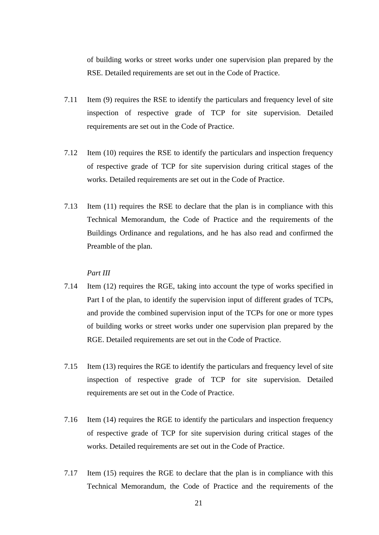of building works or street works under one supervision plan prepared by the RSE. Detailed requirements are set out in the Code of Practice.

- 7.11 Item (9) requires the RSE to identify the particulars and frequency level of site inspection of respective grade of TCP for site supervision. Detailed requirements are set out in the Code of Practice.
- 7.12 Item (10) requires the RSE to identify the particulars and inspection frequency of respective grade of TCP for site supervision during critical stages of the works. Detailed requirements are set out in the Code of Practice.
- 7.13 Item (11) requires the RSE to declare that the plan is in compliance with this Technical Memorandum, the Code of Practice and the requirements of the Buildings Ordinance and regulations, and he has also read and confirmed the Preamble of the plan.

#### *Part III*

- 7.14 Item (12) requires the RGE, taking into account the type of works specified in Part I of the plan, to identify the supervision input of different grades of TCPs, and provide the combined supervision input of the TCPs for one or more types of building works or street works under one supervision plan prepared by the RGE. Detailed requirements are set out in the Code of Practice.
- 7.15 Item (13) requires the RGE to identify the particulars and frequency level of site inspection of respective grade of TCP for site supervision. Detailed requirements are set out in the Code of Practice.
- 7.16 Item (14) requires the RGE to identify the particulars and inspection frequency of respective grade of TCP for site supervision during critical stages of the works. Detailed requirements are set out in the Code of Practice.
- 7.17 Item (15) requires the RGE to declare that the plan is in compliance with this Technical Memorandum, the Code of Practice and the requirements of the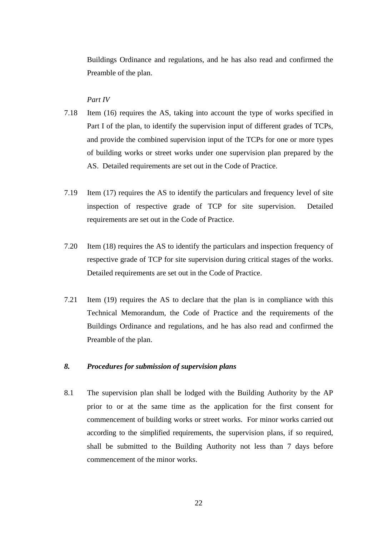Buildings Ordinance and regulations, and he has also read and confirmed the Preamble of the plan.

#### *Part IV*

- 7.18 Item (16) requires the AS, taking into account the type of works specified in Part I of the plan, to identify the supervision input of different grades of TCPs, and provide the combined supervision input of the TCPs for one or more types of building works or street works under one supervision plan prepared by the AS. Detailed requirements are set out in the Code of Practice.
- 7.19 Item (17) requires the AS to identify the particulars and frequency level of site inspection of respective grade of TCP for site supervision. Detailed requirements are set out in the Code of Practice.
- 7.20 Item (18) requires the AS to identify the particulars and inspection frequency of respective grade of TCP for site supervision during critical stages of the works. Detailed requirements are set out in the Code of Practice.
- 7.21 Item (19) requires the AS to declare that the plan is in compliance with this Technical Memorandum, the Code of Practice and the requirements of the Buildings Ordinance and regulations, and he has also read and confirmed the Preamble of the plan.

#### *8. Procedures for submission of supervision plans*

8.1 The supervision plan shall be lodged with the Building Authority by the AP prior to or at the same time as the application for the first consent for commencement of building works or street works. For minor works carried out according to the simplified requirements, the supervision plans, if so required, shall be submitted to the Building Authority not less than 7 days before commencement of the minor works.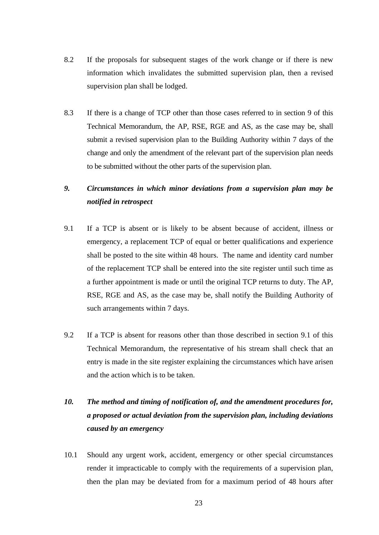- 8.2 If the proposals for subsequent stages of the work change or if there is new information which invalidates the submitted supervision plan, then a revised supervision plan shall be lodged.
- 8.3 If there is a change of TCP other than those cases referred to in section 9 of this Technical Memorandum, the AP, RSE, RGE and AS, as the case may be, shall submit a revised supervision plan to the Building Authority within 7 days of the change and only the amendment of the relevant part of the supervision plan needs to be submitted without the other parts of the supervision plan.
- *9. Circumstances in which minor deviations from a supervision plan may be notified in retrospect*
- 9.1 If a TCP is absent or is likely to be absent because of accident, illness or emergency, a replacement TCP of equal or better qualifications and experience shall be posted to the site within 48 hours. The name and identity card number of the replacement TCP shall be entered into the site register until such time as a further appointment is made or until the original TCP returns to duty. The AP, RSE, RGE and AS, as the case may be, shall notify the Building Authority of such arrangements within 7 days.
- 9.2 If a TCP is absent for reasons other than those described in section 9.1 of this Technical Memorandum, the representative of his stream shall check that an entry is made in the site register explaining the circumstances which have arisen and the action which is to be taken.

# *10. The method and timing of notification of, and the amendment procedures for, a proposed or actual deviation from the supervision plan, including deviations caused by an emergency*

10.1 Should any urgent work, accident, emergency or other special circumstances render it impracticable to comply with the requirements of a supervision plan, then the plan may be deviated from for a maximum period of 48 hours after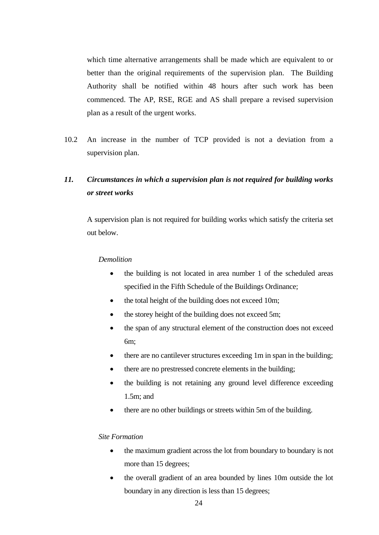which time alternative arrangements shall be made which are equivalent to or better than the original requirements of the supervision plan. The Building Authority shall be notified within 48 hours after such work has been commenced. The AP, RSE, RGE and AS shall prepare a revised supervision plan as a result of the urgent works.

10.2 An increase in the number of TCP provided is not a deviation from a supervision plan.

# *11. Circumstances in which a supervision plan is not required for building works or street works*

 A supervision plan is not required for building works which satisfy the criteria set out below.

#### *Demolition*

- the building is not located in area number 1 of the scheduled areas specified in the Fifth Schedule of the Buildings Ordinance;
- the total height of the building does not exceed 10m;
- the storey height of the building does not exceed 5m;
- the span of any structural element of the construction does not exceed 6m;
- there are no cantilever structures exceeding 1m in span in the building;
- there are no prestressed concrete elements in the building;
- the building is not retaining any ground level difference exceeding 1.5m; and
- there are no other buildings or streets within 5m of the building.

#### *Site Formation*

- the maximum gradient across the lot from boundary to boundary is not more than 15 degrees;
- the overall gradient of an area bounded by lines 10m outside the lot boundary in any direction is less than 15 degrees;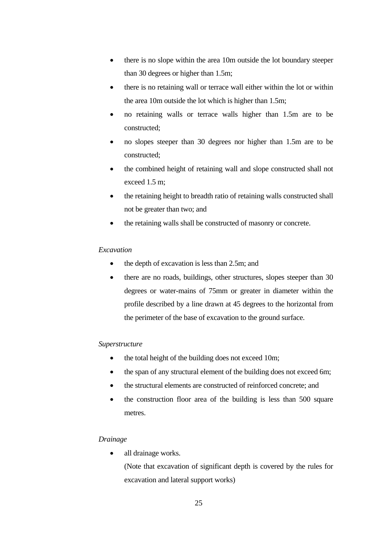- there is no slope within the area 10m outside the lot boundary steeper than 30 degrees or higher than 1.5m;
- there is no retaining wall or terrace wall either within the lot or within the area 10m outside the lot which is higher than 1.5m;
- no retaining walls or terrace walls higher than 1.5m are to be constructed;
- no slopes steeper than 30 degrees nor higher than 1.5m are to be constructed;
- the combined height of retaining wall and slope constructed shall not exceed 1.5 m;
- the retaining height to breadth ratio of retaining walls constructed shall not be greater than two; and
- the retaining walls shall be constructed of masonry or concrete.

### *Excavation*

- the depth of excavation is less than 2.5m; and
- there are no roads, buildings, other structures, slopes steeper than 30 degrees or water-mains of 75mm or greater in diameter within the profile described by a line drawn at 45 degrees to the horizontal from the perimeter of the base of excavation to the ground surface.

### *Superstructure*

- the total height of the building does not exceed 10m;
- the span of any structural element of the building does not exceed 6m;
- the structural elements are constructed of reinforced concrete; and
- the construction floor area of the building is less than 500 square metres.

### *Drainage*

all drainage works.

 (Note that excavation of significant depth is covered by the rules for excavation and lateral support works)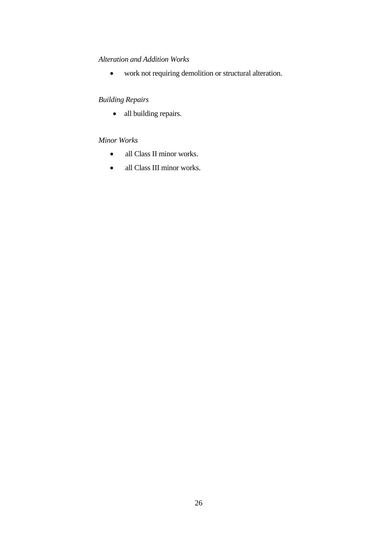### *Alteration and Addition Works*

• work not requiring demolition or structural alteration.

## *Building Repairs*

• all building repairs.

### *Minor Works*

- all Class II minor works.
- all Class III minor works.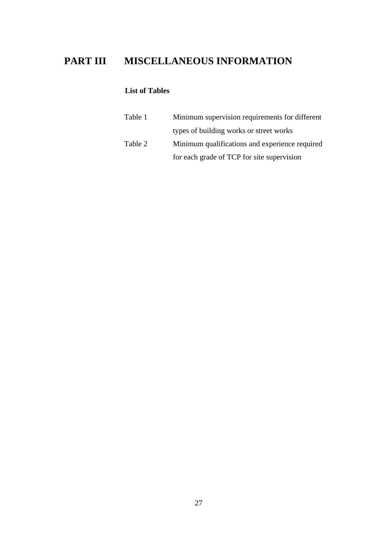# **PART III MISCELLANEOUS INFORMATION**

## **List of Tables**

| Table 1 | Minimum supervision requirements for different |
|---------|------------------------------------------------|
|         | types of building works or street works        |
| Table 2 | Minimum qualifications and experience required |
|         | for each grade of TCP for site supervision     |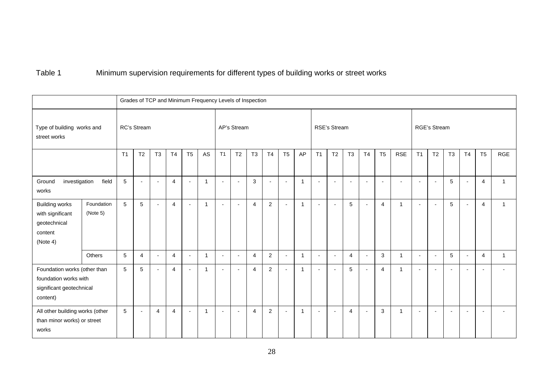# Table 1 Minimum supervision requirements for different types of building works or street works

|                                                                                               |                        | Grades of TCP and Minimum Frequency Levels of Inspection |                          |                          |                |                          |                |                          |                          |                |                          |                |              |                          |                          |                          |                          |                          |                |                          |                          |                          |                          |                          |                          |
|-----------------------------------------------------------------------------------------------|------------------------|----------------------------------------------------------|--------------------------|--------------------------|----------------|--------------------------|----------------|--------------------------|--------------------------|----------------|--------------------------|----------------|--------------|--------------------------|--------------------------|--------------------------|--------------------------|--------------------------|----------------|--------------------------|--------------------------|--------------------------|--------------------------|--------------------------|--------------------------|
| Type of building works and<br>street works                                                    | RC's Stream            |                                                          |                          |                          |                |                          |                | AP's Stream              |                          |                |                          |                |              | RSE's Stream             |                          |                          |                          |                          |                | <b>RGE's Stream</b>      |                          |                          |                          |                          |                          |
|                                                                                               | T <sub>1</sub>         | T <sub>2</sub>                                           | T <sub>3</sub>           | T <sub>4</sub>           | T <sub>5</sub> | AS                       | T1             | T2                       | T <sub>3</sub>           | <b>T4</b>      | T <sub>5</sub>           | AP             | T1           | T <sub>2</sub>           | T <sub>3</sub>           | T <sub>4</sub>           | T <sub>5</sub>           | <b>RSE</b>               | T1             | T <sub>2</sub>           | T <sub>3</sub>           | T <sub>4</sub>           | T <sub>5</sub>           | <b>RGE</b>               |                          |
| field<br>Ground<br>investigation<br>works                                                     |                        | $\overline{5}$                                           | ÷,                       | $\overline{\phantom{a}}$ | $\overline{4}$ | $\sim$                   | $\overline{1}$ | $\blacksquare$           |                          | $\mathfrak{Z}$ | $\overline{\phantom{a}}$ | $\blacksquare$ | $\mathbf{1}$ | $\blacksquare$           | $\blacksquare$           | $\overline{\phantom{a}}$ | $\blacksquare$           | $\overline{\phantom{a}}$ | $\overline{a}$ | $\sim$                   | $\overline{\phantom{a}}$ | 5                        | $\blacksquare$           | $\overline{4}$           | $\mathbf{1}$             |
| <b>Building works</b><br>with significant<br>geotechnical<br>content<br>(Note 4)              | Foundation<br>(Note 5) | $5\overline{5}$                                          | $5\phantom{.0}$          | ÷                        | $\overline{4}$ | $\overline{\phantom{a}}$ | $\overline{1}$ | ÷,                       | $\overline{\phantom{0}}$ | $\overline{4}$ | $\overline{2}$           | $\blacksquare$ | $\mathbf{1}$ | $\blacksquare$           | ٠                        | 5                        | $\blacksquare$           | $\overline{4}$           | 1              | $\blacksquare$           | $\blacksquare$           | $\overline{5}$           | $\overline{a}$           | $\overline{4}$           | 1                        |
|                                                                                               | Others                 | 5                                                        | $\overline{4}$           | $\overline{\phantom{a}}$ | $\overline{4}$ | $\overline{\phantom{a}}$ | $\mathbf{1}$   | $\blacksquare$           | $\overline{\phantom{a}}$ | $\overline{4}$ | $\overline{2}$           | $\sim$         | $\mathbf{1}$ | $\overline{\phantom{a}}$ | $\overline{\phantom{a}}$ | $\overline{4}$           | $\blacksquare$           | 3                        | $\mathbf{1}$   | $\overline{\phantom{a}}$ | $\blacksquare$           | 5                        | $\overline{\phantom{a}}$ | $\overline{4}$           | $\mathbf{1}$             |
| Foundation works (other than<br>foundation works with<br>significant geotechnical<br>content) |                        | 5                                                        | $5\phantom{.0}$          | $\overline{\phantom{a}}$ | $\overline{4}$ | $\overline{\phantom{a}}$ | $\overline{1}$ | $\overline{\phantom{a}}$ | $\overline{\phantom{0}}$ | $\overline{4}$ | $\overline{2}$           | $\blacksquare$ | $\mathbf{1}$ | $\blacksquare$           | $\overline{\phantom{a}}$ | 5                        | $\blacksquare$           | $\overline{4}$           | $\mathbf{1}$   | $\overline{\phantom{a}}$ | $\overline{\phantom{a}}$ | $\blacksquare$           | $\blacksquare$           |                          |                          |
| All other building works (other<br>than minor works) or street<br>works                       |                        | 5                                                        | $\overline{\phantom{a}}$ | $\overline{4}$           | $\overline{4}$ | $\overline{\phantom{a}}$ | $\mathbf{1}$   | $\overline{\phantom{a}}$ | $\overline{\phantom{a}}$ | $\overline{4}$ | $\overline{2}$           | $\sim$         | $\mathbf{1}$ | $\blacksquare$           | $\overline{\phantom{a}}$ | $\overline{4}$           | $\overline{\phantom{a}}$ | 3                        | $\mathbf{1}$   | $\sim$                   | $\blacksquare$           | $\overline{\phantom{a}}$ | $\sim$                   | $\overline{\phantom{0}}$ | $\overline{\phantom{a}}$ |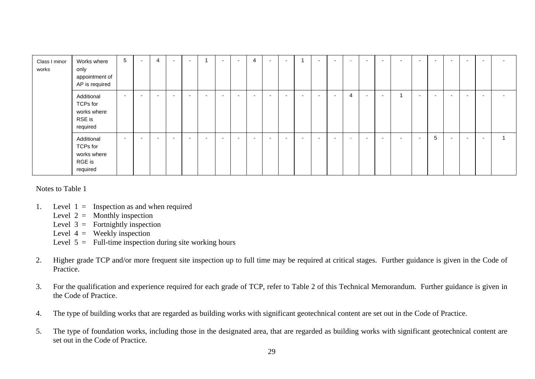| Class I minor<br>works | Works where<br>only<br>appointment of<br>AP is required     | $5\phantom{.0}$          | $\overline{a}$           | 4                        | $\overline{\phantom{a}}$ | $\overline{\phantom{a}}$ |                          | $\overline{\phantom{0}}$ | $\overline{\phantom{a}}$ | $\overline{4}$           | $\overline{\phantom{0}}$ | $\overline{\phantom{0}}$ |                          | $\blacksquare$           | $\overline{\phantom{0}}$ | $\sim$                   | $\overline{\phantom{0}}$ | $\overline{\phantom{0}}$ | $\overline{\phantom{a}}$ | $\overline{\phantom{0}}$ | $\overline{\phantom{0}}$ | $\overline{\phantom{0}}$ |                          | $\overline{\phantom{a}}$ | $\overline{\phantom{0}}$ |
|------------------------|-------------------------------------------------------------|--------------------------|--------------------------|--------------------------|--------------------------|--------------------------|--------------------------|--------------------------|--------------------------|--------------------------|--------------------------|--------------------------|--------------------------|--------------------------|--------------------------|--------------------------|--------------------------|--------------------------|--------------------------|--------------------------|--------------------------|--------------------------|--------------------------|--------------------------|--------------------------|
|                        | Additional<br>TCPs for<br>works where<br>RSE is<br>required | $\sim$                   | $\overline{\phantom{a}}$ | $\overline{\phantom{a}}$ | $\overline{\phantom{a}}$ | $\sim$                   | $\overline{\phantom{0}}$ | $\overline{\phantom{a}}$ | $\overline{\phantom{a}}$ | $\overline{\phantom{a}}$ | $\overline{\phantom{0}}$ | $\overline{\phantom{a}}$ | $\overline{\phantom{0}}$ | $\overline{\phantom{a}}$ | $\overline{\phantom{0}}$ | $\overline{4}$           | $\sim$                   | $\overline{\phantom{0}}$ |                          | $\overline{\phantom{0}}$ | $\overline{\phantom{0}}$ | $\overline{\phantom{a}}$ | $\overline{\phantom{a}}$ | $\overline{\phantom{0}}$ | $\overline{\phantom{a}}$ |
|                        | Additional<br>TCPs for<br>works where<br>RGE is<br>required | $\overline{\phantom{a}}$ |                          | . .                      | $\overline{\phantom{0}}$ | $\overline{\phantom{a}}$ | $\overline{\phantom{0}}$ |                          | $\overline{\phantom{0}}$ | $\overline{\phantom{a}}$ |                          | $\overline{\phantom{a}}$ | $\overline{\phantom{0}}$ | $\overline{\phantom{a}}$ |                          | $\overline{\phantom{0}}$ | $\overline{\phantom{0}}$ | $\overline{\phantom{0}}$ | $\overline{\phantom{0}}$ | $\blacksquare$           | 5                        | $\overline{\phantom{a}}$ | $\overline{\phantom{0}}$ | $\overline{\phantom{0}}$ |                          |

Notes to Table 1

- 1. Level  $1 =$  Inspection as and when required
	- Level  $2 =$  Monthly inspection
	- Level  $3 =$  Fortnightly inspection
	- Level  $4 =$  Weekly inspection
	- Level  $5 =$  Full-time inspection during site working hours
- 2. Higher grade TCP and/or more frequent site inspection up to full time may be required at critical stages. Further guidance is given in the Code of Practice.
- 3. For the qualification and experience required for each grade of TCP, refer to Table 2 of this Technical Memorandum. Further guidance is given in the Code of Practice.
- 4. The type of building works that are regarded as building works with significant geotechnical content are set out in the Code of Practice.
- 5. The type of foundation works, including those in the designated area, that are regarded as building works with significant geotechnical content are set out in the Code of Practice.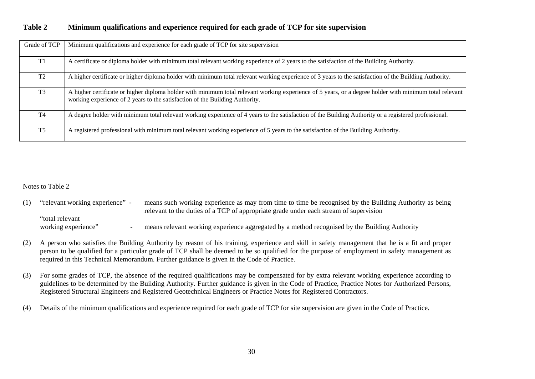| Grade of TCP   | Minimum qualifications and experience for each grade of TCP for site supervision                                                                                                                                                        |
|----------------|-----------------------------------------------------------------------------------------------------------------------------------------------------------------------------------------------------------------------------------------|
| T1             | A certificate or diploma holder with minimum total relevant working experience of 2 years to the satisfaction of the Building Authority.                                                                                                |
| T <sub>2</sub> | A higher certificate or higher diploma holder with minimum total relevant working experience of 3 years to the satisfaction of the Building Authority.                                                                                  |
| T <sub>3</sub> | A higher certificate or higher diploma holder with minimum total relevant working experience of 5 years, or a degree holder with minimum total relevant<br>working experience of 2 years to the satisfaction of the Building Authority. |
| T4             | A degree holder with minimum total relevant working experience of 4 years to the satisfaction of the Building Authority or a registered professional.                                                                                   |
| T5             | A registered professional with minimum total relevant working experience of 5 years to the satisfaction of the Building Authority.                                                                                                      |

#### **Table 2 Minimum qualifications and experience required for each grade of TCP for site supervision**

#### Notes to Table 2

| "relevant working experience" | means such working experience as may from time to time be recognised by the Building Authority as being<br>relevant to the duties of a TCP of appropriate grade under each stream of supervision |
|-------------------------------|--------------------------------------------------------------------------------------------------------------------------------------------------------------------------------------------------|
| "total relevant"              |                                                                                                                                                                                                  |
| working experience"           | means relevant working experience aggregated by a method recognised by the Building Authority                                                                                                    |

- (2) A person who satisfies the Building Authority by reason of his training, experience and skill in safety management that he is a fit and proper person to be qualified for a particular grade of TCP shall be deemed to be so qualified for the purpose of employment in safety management as required in this Technical Memorandum. Further guidance is given in the Code of Practice.
- (3) For some grades of TCP, the absence of the required qualifications may be compensated for by extra relevant working experience according to guidelines to be determined by the Building Authority. Further guidance is given in the Code of Practice, Practice Notes for Authorized Persons, Registered Structural Engineers and Registered Geotechnical Engineers or Practice Notes for Registered Contractors.
- (4) Details of the minimum qualifications and experience required for each grade of TCP for site supervision are given in the Code of Practice.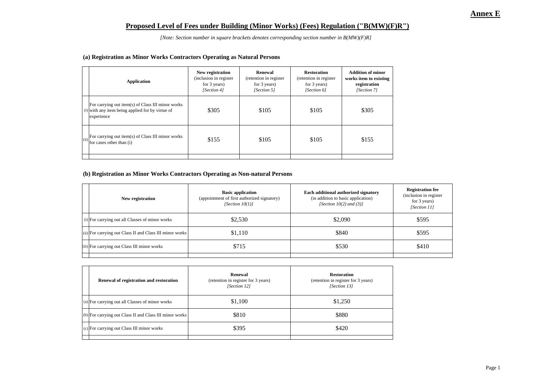#### **Proposed Level of Fees under Building (Minor Works) (Fees) Regulation ("B(MW)(F)R")**

*[Note: Section number in square brackets denotes corresponding section number in B(MW)(F)R]*

#### **(a) Registration as Minor Works Contractors Operating as Natural Persons**

| <b>Application</b>                                                                                                    | New registration<br>(inclusion in register)<br>for 3 years)<br>[Section 4] | Renewal<br>(retention in register<br>for 3 years)<br>[Section 5] | <b>Restoration</b><br>(retention in register<br>for 3 years)<br>[Section 6] | <b>Addition of minor</b><br>works item to existing<br>registration<br>[Section 7] |
|-----------------------------------------------------------------------------------------------------------------------|----------------------------------------------------------------------------|------------------------------------------------------------------|-----------------------------------------------------------------------------|-----------------------------------------------------------------------------------|
| For carrying out item(s) of Class III minor works<br>$(i)$ with any item being applied for by virtue of<br>experience | \$305                                                                      | \$105                                                            | \$105                                                                       | \$305                                                                             |
| For carrying out item(s) of Class III minor works<br>(ii)<br>for cases other than (i)                                 | \$155                                                                      | \$105                                                            | \$105                                                                       | \$155                                                                             |

#### **(b) Registration as Minor Works Contractors Operating as Non-natural Persons**

| New registration                                         | <b>Basic application</b><br>(appointment of first authorized signatory)<br>[Section $10(1)$ ] | Each additional authorized signatory<br>(in addition to basic application)<br>[Section $10(2)$ and $(3)$ ] | <b>Registration fee</b><br>(inclusion in register)<br>for $3$ years)<br>[Section 11] |
|----------------------------------------------------------|-----------------------------------------------------------------------------------------------|------------------------------------------------------------------------------------------------------------|--------------------------------------------------------------------------------------|
| (i) For carrying out all Classes of minor works          | \$2,530                                                                                       | \$2,090                                                                                                    | \$595                                                                                |
| (ii) For carrying out Class II and Class III minor works | \$1,110                                                                                       | \$840                                                                                                      | \$595                                                                                |
| (iii) For carrying out Class III minor works             | \$715                                                                                         | \$530                                                                                                      | \$410                                                                                |
|                                                          |                                                                                               |                                                                                                            |                                                                                      |

| Renewal of registration and restoration                 | Renewal<br>(retention in register for 3 years)<br>[Section 12] | <b>Restoration</b><br>(retention in register for 3 years)<br>[Section 13] |
|---------------------------------------------------------|----------------------------------------------------------------|---------------------------------------------------------------------------|
| (a) For carrying out all Classes of minor works         | \$1,100                                                        | \$1,250                                                                   |
| (b) For carrying out Class II and Class III minor works | \$810                                                          | \$880                                                                     |
| (c) For carrying out Class III minor works              | \$395                                                          | \$420                                                                     |
|                                                         |                                                                |                                                                           |